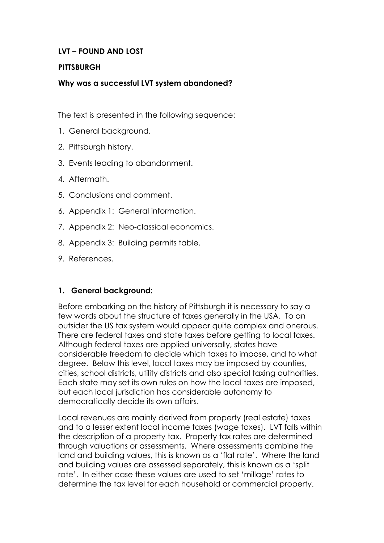# **LVT – FOUND AND LOST**

### **PITTSBURGH**

# **Why was a successful LVT system abandoned?**

The text is presented in the following sequence:

- 1. General background.
- 2. Pittsburgh history.
- 3. Events leading to abandonment.
- 4. Aftermath.
- 5. Conclusions and comment.
- 6. Appendix 1: General information.
- 7. Appendix 2: Neo-classical economics.
- 8. Appendix 3: Building permits table.
- 9. References.

# **1. General background:**

Before embarking on the history of Pittsburgh it is necessary to say a few words about the structure of taxes generally in the USA. To an outsider the US tax system would appear quite complex and onerous. There are federal taxes and state taxes before getting to local taxes. Although federal taxes are applied universally, states have considerable freedom to decide which taxes to impose, and to what degree. Below this level, local taxes may be imposed by counties, cities, school districts, utility districts and also special taxing authorities. Each state may set its own rules on how the local taxes are imposed, but each local jurisdiction has considerable autonomy to democratically decide its own affairs.

Local revenues are mainly derived from property (real estate) taxes and to a lesser extent local income taxes (wage taxes). LVT falls within the description of a property tax. Property tax rates are determined through valuations or assessments. Where assessments combine the land and building values, this is known as a 'flat rate'. Where the land and building values are assessed separately, this is known as a 'split rate'. In either case these values are used to set 'millage' rates to determine the tax level for each household or commercial property.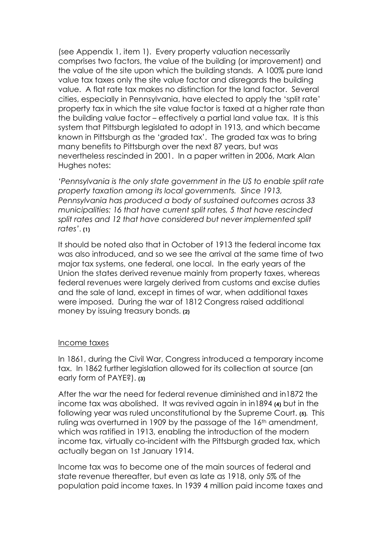(see Appendix 1, item 1). Every property valuation necessarily comprises two factors, the value of the building (or improvement) and the value of the site upon which the building stands. A 100% pure land value tax taxes only the site value factor and disregards the building value. A flat rate tax makes no distinction for the land factor. Several cities, especially in Pennsylvania, have elected to apply the 'split rate' property tax in which the site value factor is taxed at a higher rate than the building value factor – effectively a partial land value tax. It is this system that Pittsburgh legislated to adopt in 1913, and which became known in Pittsburgh as the 'graded tax'. The graded tax was to bring many benefits to Pittsburgh over the next 87 years, but was nevertheless rescinded in 2001. In a paper written in 2006, Mark Alan Hughes notes:

*'Pennsylvania is the only state government in the US to enable split rate property taxation among its local governments. Since 1913, Pennsylvania has produced a body of sustained outcomes across 33 municipalities: 16 that have current split rates, 5 that have rescinded split rates and 12 that have considered but never implemented split rates'*. **(1)**

It should be noted also that in October of 1913 the federal income tax was also introduced, and so we see the arrival at the same time of two major tax systems, one federal, one local. In the early years of the Union the states derived revenue mainly from property taxes, whereas federal revenues were largely derived from customs and excise duties and the sale of land, except in times of war, when additional taxes were imposed. During the war of 1812 Congress raised additional money by issuing treasury bonds. **(2)**

#### Income taxes

In 1861, during the Civil War, Congress introduced a temporary income tax. In 1862 further legislation allowed for its collection at source (an early form of PAYE?). **(3)**

After the war the need for federal revenue diminished and in1872 the income tax was abolished. It was revived again in in1894 **(4)** but in the following year was ruled unconstitutional by the Supreme Court. **(5).** This ruling was overturned in 1909 by the passage of the 16<sup>th</sup> amendment, which was ratified in 1913, enabling the introduction of the modern income tax, virtually co-incident with the Pittsburgh graded tax, which actually began on 1st January 1914.

Income tax was to become one of the main sources of federal and state revenue thereafter, but even as late as 1918, only 5% of the population paid income taxes. In 1939 4 million paid income taxes and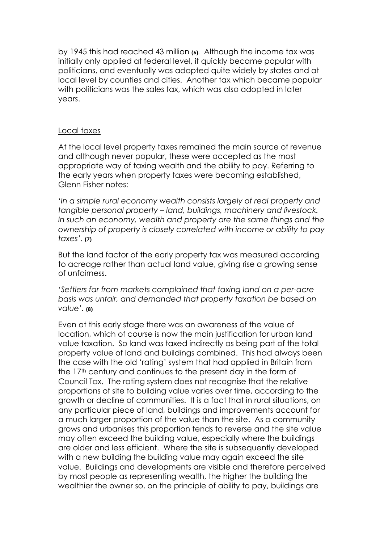by 1945 this had reached 43 million **(6).** Although the income tax was initially only applied at federal level, it quickly became popular with politicians, and eventually was adopted quite widely by states and at local level by counties and cities. Another tax which became popular with politicians was the sales tax, which was also adopted in later years.

### Local taxes

At the local level property taxes remained the main source of revenue and although never popular, these were accepted as the most appropriate way of taxing wealth and the ability to pay. Referring to the early years when property taxes were becoming established, Glenn Fisher notes:

*'In a simple rural economy wealth consists largely of real property and tangible personal property – land, buildings, machinery and livestock. In such an economy, wealth and property are the same things and the ownership of property is closely correlated with income or ability to pay taxes'*. **(7)**

But the land factor of the early property tax was measured according to acreage rather than actual land value, giving rise a growing sense of unfairness.

*'Settlers far from markets complained that taxing land on a per-acre basis was unfair, and demanded that property taxation be based on value'.* **(8)**

Even at this early stage there was an awareness of the value of location, which of course is now the main justification for urban land value taxation. So land was taxed indirectly as being part of the total property value of land and buildings combined. This had always been the case with the old 'rating' system that had applied in Britain from the 17<sup>th</sup> century and continues to the present day in the form of Council Tax. The rating system does not recognise that the relative proportions of site to building value varies over time, according to the growth or decline of communities. It is a fact that in rural situations, on any particular piece of land, buildings and improvements account for a much larger proportion of the value than the site. As a community grows and urbanises this proportion tends to reverse and the site value may often exceed the building value, especially where the buildings are older and less efficient. Where the site is subsequently developed with a new building the building value may again exceed the site value. Buildings and developments are visible and therefore perceived by most people as representing wealth, the higher the building the wealthier the owner so, on the principle of ability to pay, buildings are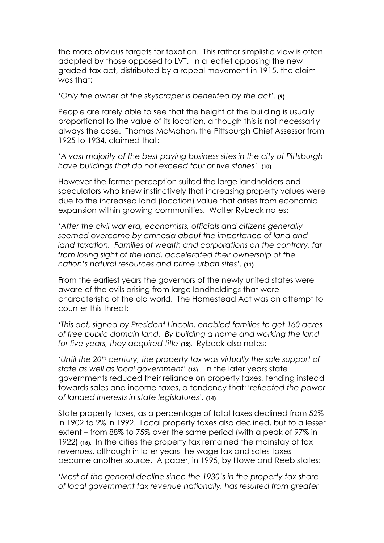the more obvious targets for taxation. This rather simplistic view is often adopted by those opposed to LVT. In a leaflet opposing the new graded-tax act, distributed by a repeal movement in 1915, the claim was that:

*'Only the owner of the skyscraper is benefited by the act'.* **(9)**

People are rarely able to see that the height of the building is usually proportional to the value of its location, although this is not necessarily always the case. Thomas McMahon, the Pittsburgh Chief Assessor from 1925 to 1934, claimed that:

*'A vast majority of the best paying business sites in the city of Pittsburgh have buildings that do not exceed four or five stories'.* **(10)**

However the former perception suited the large landholders and speculators who knew instinctively that increasing property values were due to the increased land (location) value that arises from economic expansion within growing communities. Walter Rybeck notes:

*'After the civil war era, economists, officials and citizens generally seemed overcome by amnesia about the importance of land and land taxation. Families of wealth and corporations on the contrary, far from losing sight of the land, accelerated their ownership of the nation's natural resources and prime urban sites'.* **(11)**

From the earliest years the governors of the newly united states were aware of the evils arising from large landholdings that were characteristic of the old world. The Homestead Act was an attempt to counter this threat:

*'This act, signed by President Lincoln, enabled families to get 160 acres of free public domain land. By building a home and working the land for five years, they acquired title'***(12).** Rybeck also notes:

'Until the 20<sup>th</sup> century, the property tax was virtually the sole support of *state as well as local government'* **(13) .** In the later years state governments reduced their reliance on property taxes, tending instead towards sales and income taxes, a tendency that: '*reflected the power of landed interests in state legislatures'.* **(14)**

State property taxes, as a percentage of total taxes declined from 52% in 1902 to 2% in 1992. Local property taxes also declined, but to a lesser extent – from 88% to 75% over the same period (with a peak of 97% in 1922) **(15).** In the cities the property tax remained the mainstay of tax revenues, although in later years the wage tax and sales taxes became another source. A paper, in 1995, by Howe and Reeb states:

*'Most of the general decline since the 1930's in the property tax share of local government tax revenue nationally, has resulted from greater*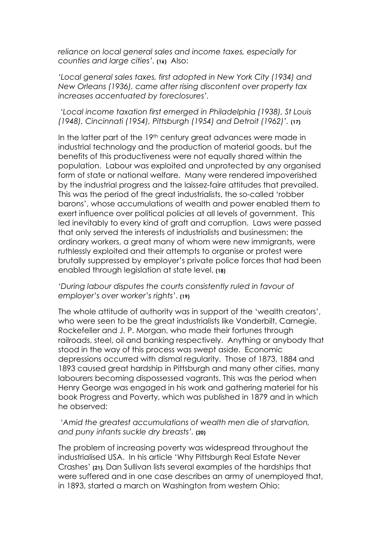*reliance on local general sales and income taxes, especially for counties and large cities'.* **(16)** Also:

*'Local general sales taxes, first adopted in New York City (1934) and New Orleans (1936), came after rising discontent over property tax increases accentuated by foreclosures'.*

### *'Local income taxation first emerged in Philadelphia (1938), St Louis (1948), Cincinnati (1954), Pittsburgh (1954) and Detroit (1962)'.* **(17)**

In the latter part of the 19<sup>th</sup> century great advances were made in industrial technology and the production of material goods, but the benefits of this productiveness were not equally shared within the population. Labour was exploited and unprotected by any organised form of state or national welfare. Many were rendered impoverished by the industrial progress and the laissez-faire attitudes that prevailed. This was the period of the great industrialists, the so-called 'robber barons', whose accumulations of wealth and power enabled them to exert influence over political policies at all levels of government. This led inevitably to every kind of graft and corruption. Laws were passed that only served the interests of industrialists and businessmen; the ordinary workers, a great many of whom were new immigrants, were ruthlessly exploited and their attempts to organise or protest were brutally suppressed by employer's private police forces that had been enabled through legislation at state level. **(18)**

*'During labour disputes the courts consistently ruled in favour of employer's over worker's rights'*. **(19)**

The whole attitude of authority was in support of the 'wealth creators', who were seen to be the great industrialists like Vanderbilt, Carnegie, Rockefeller and J. P. Morgan, who made their fortunes through railroads, steel, oil and banking respectively. Anything or anybody that stood in the way of this process was swept aside. Economic depressions occurred with dismal regularity. Those of 1873, 1884 and 1893 caused great hardship in Pittsburgh and many other cities, many labourers becoming dispossessed vagrants. This was the period when Henry George was engaged in his work and gathering materiel for his book Progress and Poverty, which was published in 1879 and in which he observed:

#### *'Amid the greatest accumulations of wealth men die of starvation, and puny infants suckle dry breasts'.* **(20)**

The problem of increasing poverty was widespread throughout the industrialised USA. In his article 'Why Pittsburgh Real Estate Never Crashes' **(21),** Dan Sullivan lists several examples of the hardships that were suffered and in one case describes an army of unemployed that, in 1893, started a march on Washington from western Ohio: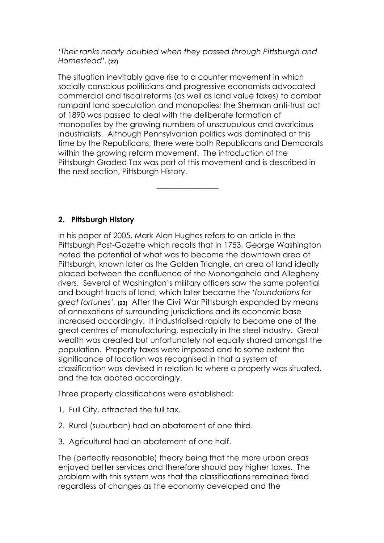*'Their ranks nearly doubled when they passed through Pittsburgh and Homestead'.* **(22)**

The situation inevitably gave rise to a counter movement in which socially conscious politicians and progressive economists advocated commercial and fiscal reforms (as well as land value taxes) to combat rampant land speculation and monopolies; the Sherman anti-trust act of 1890 was passed to deal with the deliberate formation of monopolies by the growing numbers of unscrupulous and avaricious industrialists. Although Pennsylvanian politics was dominated at this time by the Republicans, there were both Republicans and Democrats within the growing reform movement. The introduction of the Pittsburgh Graded Tax was part of this movement and is described in the next section, Pittsburgh History.

––––––––––––––––

# **2. Pittsburgh History**

In his paper of 2005, Mark Alan Hughes refers to an article in the Pittsburgh Post-Gazette which recalls that in 1753, George Washington noted the potential of what was to become the downtown area of Pittsburgh, known later as the Golden Triangle, an area of land ideally placed between the confluence of the Monongahela and Allegheny rivers. Several of Washington's military officers saw the same potential and bought tracts of land, which later became the *'foundations for great fortunes'.* **(23)** After the Civil War Pittsburgh expanded by means of annexations of surrounding jurisdictions and its economic base increased accordingly. It industrialised rapidly to become one of the great centres of manufacturing, especially in the steel industry. Great wealth was created but unfortunately not equally shared amongst the population. Property taxes were imposed and to some extent the significance of location was recognised in that a system of classification was devised in relation to where a property was situated, and the tax abated accordingly.

Three property classifications were established:

- 1. Full City, attracted the full tax.
- 2. Rural (suburban) had an abatement of one third.
- 3. Agricultural had an abatement of one half.

The (perfectly reasonable) theory being that the more urban areas enjoyed better services and therefore should pay higher taxes. The problem with this system was that the classifications remained fixed regardless of changes as the economy developed and the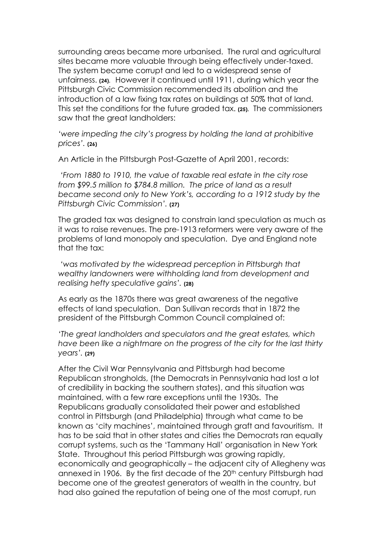surrounding areas became more urbanised. The rural and agricultural sites became more valuable through being effectively under-taxed. The system became corrupt and led to a widespread sense of unfairness. **(24).** However it continued until 1911, during which year the Pittsburgh Civic Commission recommended its abolition and the introduction of a law fixing tax rates on buildings at 50% that of land. This set the conditions for the future graded tax. **(25).** The commissioners saw that the great landholders:

*'were impeding the city's progress by holding the land at prohibitive prices'.* **(26)**

An Article in the Pittsburgh Post-Gazette of April 2001, records:

*'From 1880 to 1910, the value of taxable real estate in the city rose from \$99.5 million to \$784.8 million. The price of land as a result became second only to New York's, according to a 1912 study by the Pittsburgh Civic Commission'.* **(27)**

The graded tax was designed to constrain land speculation as much as it was to raise revenues. The pre-1913 reformers were very aware of the problems of land monopoly and speculation. Dye and England note that the tax:

 *'was motivated by the widespread perception in Pittsburgh that wealthy landowners were withholding land from development and realising hefty speculative gains'.* **(28)**

As early as the 1870s there was great awareness of the negative effects of land speculation. Dan Sullivan records that in 1872 the president of the Pittsburgh Common Council complained of:

*'The great landholders and speculators and the great estates, which have been like a nightmare on the progress of the city for the last thirty years'.* **(29)**

After the Civil War Pennsylvania and Pittsburgh had become Republican strongholds, (the Democrats in Pennsylvania had lost a lot of credibility in backing the southern states), and this situation was maintained, with a few rare exceptions until the 1930s. The Republicans gradually consolidated their power and established control in Pittsburgh (and Philadelphia) through what came to be known as 'city machines', maintained through graft and favouritism. It has to be said that in other states and cities the Democrats ran equally corrupt systems, such as the 'Tammany Hall' organisation in New York State. Throughout this period Pittsburgh was growing rapidly, economically and geographically – the adjacent city of Allegheny was annexed in 1906. By the first decade of the 20<sup>th</sup> century Pittsburgh had become one of the greatest generators of wealth in the country, but had also gained the reputation of being one of the most corrupt, run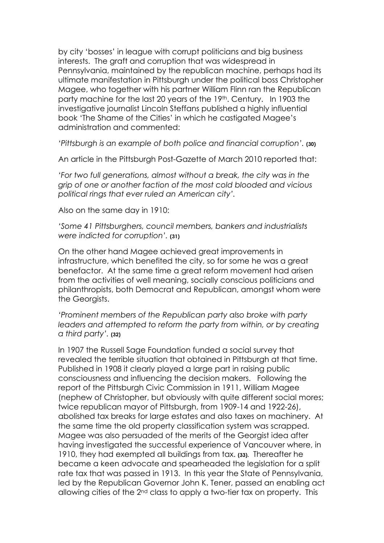by city 'bosses' in league with corrupt politicians and big business interests. The graft and corruption that was widespread in Pennsylvania, maintained by the republican machine, perhaps had its ultimate manifestation in Pittsburgh under the political boss Christopher Magee, who together with his partner William Flinn ran the Republican party machine for the last 20 years of the 19th. Century. In 1903 the investigative journalist Lincoln Steffans published a highly influential book 'The Shame of the Cities' in which he castigated Magee's administration and commented:

*'Pittsburgh is an example of both police and financial corruption'.* **(30)**

An article in the Pittsburgh Post-Gazette of March 2010 reported that:

*'For two full generations, almost without a break, the city was in the grip of one or another faction of the most cold blooded and vicious political rings that ever ruled an American city'.* 

Also on the same day in 1910:

*'Some 41 Pittsburghers, council members, bankers and industrialists were indicted for corruption'.* **(31)**

On the other hand Magee achieved great improvements in infrastructure, which benefited the city, so for some he was a great benefactor. At the same time a great reform movement had arisen from the activities of well meaning, socially conscious politicians and philanthropists, both Democrat and Republican, amongst whom were the Georgists.

*'Prominent members of the Republican party also broke with party*  leaders and attempted to reform the party from within, or by creating *a third party'.* **(32)**

In 1907 the Russell Sage Foundation funded a social survey that revealed the terrible situation that obtained in Pittsburgh at that time. Published in 1908 it clearly played a large part in raising public consciousness and influencing the decision makers. Following the report of the Pittsburgh Civic Commission in 1911, William Magee (nephew of Christopher, but obviously with quite different social mores; twice republican mayor of Pittsburgh, from 1909-14 and 1922-26), abolished tax breaks for large estates and also taxes on machinery. At the same time the old property classification system was scrapped. Magee was also persuaded of the merits of the Georgist idea after having investigated the successful experience of Vancouver where, in 1910, they had exempted all buildings from tax. **(33).** Thereafter he became a keen advocate and spearheaded the legislation for a split rate tax that was passed in 1913. In this year the State of Pennsylvania, led by the Republican Governor John K. Tener, passed an enabling act allowing cities of the 2<sup>nd</sup> class to apply a two-tier tax on property. This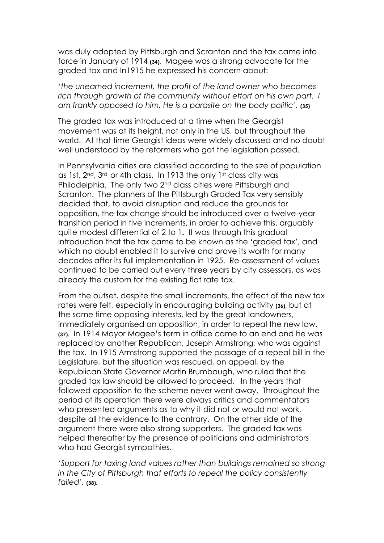was duly adopted by Pittsburgh and Scranton and the tax came into force in January of 1914 **(34).** Magee was a strong advocate for the graded tax and In1915 he expressed his concern about:

*'the unearned increment, the profit of the land owner who becomes*  rich through growth of the community without effort on his own part. I *am frankly opposed to him. He is a parasite on the body politic'.* **(35)**

The graded tax was introduced at a time when the Georgist movement was at its height, not only in the US, but throughout the world. At that time Georgist ideas were widely discussed and no doubt well understood by the reformers who got the legislation passed.

In Pennsylvania cities are classified according to the size of population as 1st, 2<sup>nd</sup>, 3<sup>rd</sup> or 4th class. In 1913 the only 1st class city was Philadelphia. The only two 2<sup>nd</sup> class cities were Pittsburgh and Scranton. The planners of the Pittsburgh Graded Tax very sensibly decided that, to avoid disruption and reduce the grounds for opposition, the tax change should be introduced over a twelve-year transition period in five increments, in order to achieve this, arguably quite modest differential of 2 to 1**.** It was through this gradual introduction that the tax came to be known as the 'graded tax', and which no doubt enabled it to survive and prove its worth for many decades after its full implementation in 1925. Re-assessment of values continued to be carried out every three years by city assessors, as was already the custom for the existing flat rate tax.

From the outset, despite the small increments, the effect of the new tax rates were felt, especially in encouraging building activity **(36),** but at the same time opposing interests, led by the great landowners, immediately organised an opposition, in order to repeal the new law. **(37).** In 1914 Mayor Magee's term in office came to an end and he was replaced by another Republican, Joseph Armstrong, who was against the tax. In 1915 Armstrong supported the passage of a repeal bill in the Legislature, but the situation was rescued, on appeal, by the Republican State Governor Martin Brumbaugh, who ruled that the graded tax law should be allowed to proceed. In the years that followed opposition to the scheme never went away. Throughout the period of its operation there were always critics and commentators who presented arguments as to why it did not or would not work, despite all the evidence to the contrary. On the other side of the argument there were also strong supporters. The graded tax was helped thereafter by the presence of politicians and administrators who had Georgist sympathies.

*'Support for taxing land values rather than buildings remained so strong in the City of Pittsburgh that efforts to repeal the policy consistently failed'.* **(38).**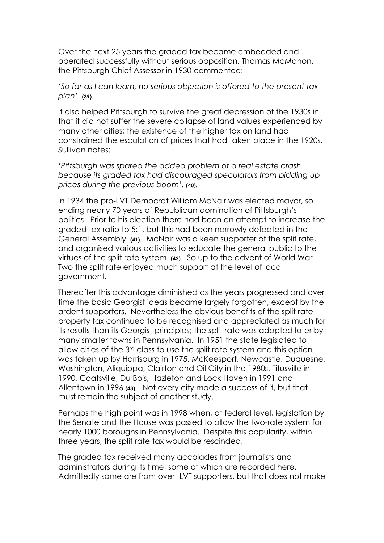Over the next 25 years the graded tax became embedded and operated successfully without serious opposition. Thomas McMahon, the Pittsburgh Chief Assessor in 1930 commented:

*'So far as I can learn, no serious objection is offered to the present tax plan'*. **(39).**

It also helped Pittsburgh to survive the great depression of the 1930s in that it did not suffer the severe collapse of land values experienced by many other cities; the existence of the higher tax on land had constrained the escalation of prices that had taken place in the 1920s. Sullivan notes:

*'Pittsburgh was spared the added problem of a real estate crash because its graded tax had discouraged speculators from bidding up prices during the previous boom'.* **(40).**

In 1934 the pro-LVT Democrat William McNair was elected mayor, so ending nearly 70 years of Republican domination of Pittsburgh's politics. Prior to his election there had been an attempt to increase the graded tax ratio to 5:1, but this had been narrowly defeated in the General Assembly. **(41).** McNair was a keen supporter of the split rate, and organised various activities to educate the general public to the virtues of the split rate system. **(42).** So up to the advent of World War Two the split rate enjoyed much support at the level of local government.

Thereafter this advantage diminished as the years progressed and over time the basic Georgist ideas became largely forgotten, except by the ardent supporters. Nevertheless the obvious benefits of the split rate property tax continued to be recognised and appreciated as much for its results than its Georgist principles; the split rate was adopted later by many smaller towns in Pennsylvania. In 1951 the state legislated to allow cities of the 3<sup>rd</sup> class to use the split rate system and this option was taken up by Harrisburg in 1975, McKeesport, Newcastle, Duquesne, Washington, Aliquippa, Clairton and Oil City in the 1980s, Titusville in 1990, Coatsville, Du Bois, Hazleton and Lock Haven in 1991 and Allentown in 1996 **(43).** Not every city made a success of it, but that must remain the subject of another study.

Perhaps the high point was in 1998 when, at federal level, legislation by the Senate and the House was passed to allow the two-rate system for nearly 1000 boroughs in Pennsylvania. Despite this popularity, within three years, the split rate tax would be rescinded.

The graded tax received many accolades from journalists and administrators during its time, some of which are recorded here. Admittedly some are from overt LVT supporters, but that does not make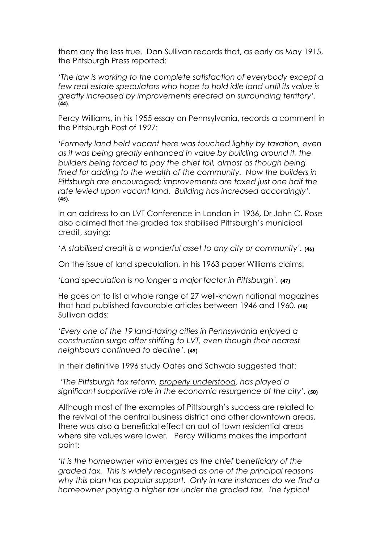them any the less true. Dan Sullivan records that, as early as May 1915, the Pittsburgh Press reported:

*'The law is working to the complete satisfaction of everybody except a few real estate speculators who hope to hold idle land until its value is greatly increased by improvements erected on surrounding territory'.*  **(44).**

Percy Williams, in his 1955 essay on Pennsylvania, records a comment in the Pittsburgh Post of 1927:

*'Formerly land held vacant here was touched lightly by taxation, even as it was being greatly enhanced in value by building around it, the builders being forced to pay the chief toll, almost as though being fined for adding to the wealth of the community. Now the builders in Pittsburgh are encouraged; improvements are taxed just one half the rate levied upon vacant land. Building has increased accordingly'.*  **(45).**

In an address to an LVT Conference in London in 1936**,** Dr John C. Rose also claimed that the graded tax stabilised Pittsburgh's municipal credit, saying:

*'A stabilised credit is a wonderful asset to any city or community'.* **(46)**

On the issue of land speculation, in his 1963 paper Williams claims:

*'Land speculation is no longer a major factor in Pittsburgh'.* **(47)**

He goes on to list a whole range of 27 well-known national magazines that had published favourable articles between 1946 and 1960. **(48)** Sullivan adds:

*'Every one of the 19 land-taxing cities in Pennsylvania enjoyed a construction surge after shifting to LVT, even though their nearest neighbours continued to decline'.* **(49)**

In their definitive 1996 study Oates and Schwab suggested that:

*'The Pittsburgh tax reform, properly understood*, *has played a significant supportive role in the economic resurgence of the city'.* **(50)**

Although most of the examples of Pittsburgh's success are related to the revival of the central business district and other downtown areas, there was also a beneficial effect on out of town residential areas where site values were lower. Percy Williams makes the important point:

*'It is the homeowner who emerges as the chief beneficiary of the graded tax. This is widely recognised as one of the principal reasons why this plan has popular support. Only in rare instances do we find a homeowner paying a higher tax under the graded tax. The typical*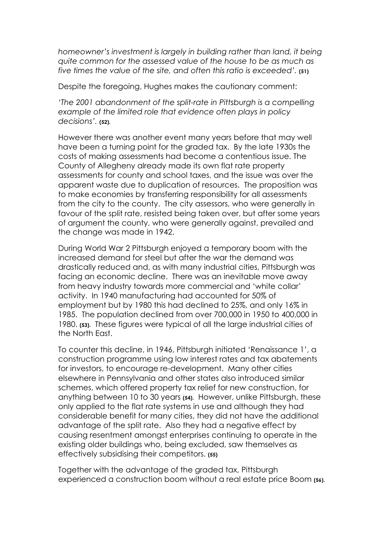*homeowner's investment is largely in building rather than land, it being quite common for the assessed value of the house to be as much as five times the value of the site, and often this ratio is exceeded'.* **(51)**

Despite the foregoing, Hughes makes the cautionary comment:

*'The 2001 abandonment of the split-rate in Pittsburgh is a compelling example of the limited role that evidence often plays in policy decisions'.* **(52).**

However there was another event many years before that may well have been a turning point for the graded tax. By the late 1930s the costs of making assessments had become a contentious issue. The County of Allegheny already made its own flat rate property assessments for county and school taxes, and the issue was over the apparent waste due to duplication of resources. The proposition was to make economies by transferring responsibility for all assessments from the city to the county. The city assessors, who were generally in favour of the split rate, resisted being taken over, but after some years of argument the county, who were generally against, prevailed and the change was made in 1942.

During World War 2 Pittsburgh enjoyed a temporary boom with the increased demand for steel but after the war the demand was drastically reduced and, as with many industrial cities, Pittsburgh was facing an economic decline. There was an inevitable move away from heavy industry towards more commercial and 'white collar' activity. In 1940 manufacturing had accounted for 50% of employment but by 1980 this had declined to 25%, and only 16% in 1985. The population declined from over 700,000 in 1950 to 400,000 in 1980. **(53).** These figures were typical of all the large industrial cities of the North East.

To counter this decline, in 1946, Pittsburgh initiated 'Renaissance 1', a construction programme using low interest rates and tax abatements for investors, to encourage re-development. Many other cities elsewhere in Pennsylvania and other states also introduced similar schemes, which offered property tax relief for new construction, for anything between 10 to 30 years **(54).** However, unlike Pittsburgh, these only applied to the flat rate systems in use and although they had considerable benefit for many cities, they did not have the additional advantage of the split rate. Also they had a negative effect by causing resentment amongst enterprises continuing to operate in the existing older buildings who, being excluded, saw themselves as effectively subsidising their competitors. **(55)**

Together with the advantage of the graded tax, Pittsburgh experienced a construction boom without a real estate price Boom **(56).**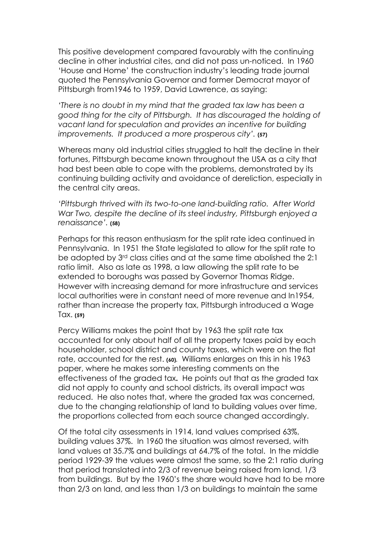This positive development compared favourably with the continuing decline in other industrial cites, and did not pass un-noticed. In 1960 'House and Home' the construction industry's leading trade journal quoted the Pennsylvania Governor and former Democrat mayor of Pittsburgh from1946 to 1959, David Lawrence, as saying:

*'There is no doubt in my mind that the graded tax law has been a good thing for the city of Pittsburgh. It has discouraged the holding of vacant land for speculation and provides an incentive for building improvements. It produced a more prosperous city'.* **(57)**

Whereas many old industrial cities struggled to halt the decline in their fortunes, Pittsburgh became known throughout the USA as a city that had best been able to cope with the problems, demonstrated by its continuing building activity and avoidance of dereliction, especially in the central city areas.

*'Pittsburgh thrived with its two-to-one land-building ratio. After World War Two, despite the decline of its steel industry, Pittsburgh enjoyed a renaissance'.* **(58)**

Perhaps for this reason enthusiasm for the split rate idea continued in Pennsylvania. In 1951 the State legislated to allow for the split rate to be adopted by 3rd class cities and at the same time abolished the 2:1 ratio limit. Also as late as 1998, a law allowing the split rate to be extended to boroughs was passed by Governor Thomas Ridge. However with increasing demand for more infrastructure and services local authorities were in constant need of more revenue and In1954, rather than increase the property tax, Pittsburgh introduced a Wage Tax. **(59)**

Percy Williams makes the point that by 1963 the split rate tax accounted for only about half of all the property taxes paid by each householder, school district and county taxes, which were on the flat rate, accounted for the rest. (60). Williams enlarges on this in his 1963 paper, where he makes some interesting comments on the effectiveness of the graded tax**.** He points out that as the graded tax did not apply to county and school districts, its overall impact was reduced. He also notes that, where the graded tax was concerned, due to the changing relationship of land to building values over time, the proportions collected from each source changed accordingly.

Of the total city assessments in 1914, land values comprised 63%, building values 37%. In 1960 the situation was almost reversed, with land values at 35.7% and buildings at 64.7% of the total. In the middle period 1929-39 the values were almost the same, so the 2:1 ratio during that period translated into 2/3 of revenue being raised from land, 1/3 from buildings. But by the 1960's the share would have had to be more than 2/3 on land, and less than 1/3 on buildings to maintain the same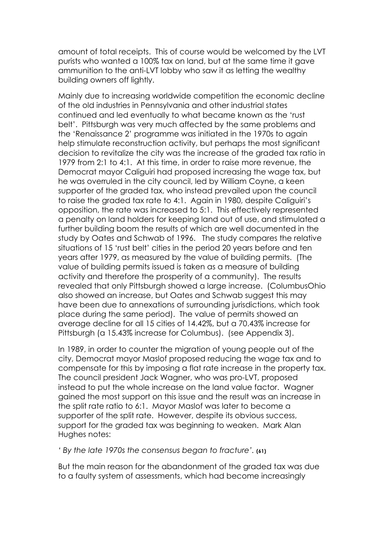amount of total receipts. This of course would be welcomed by the LVT purists who wanted a 100% tax on land, but at the same time it gave ammunition to the anti-LVT lobby who saw it as letting the wealthy building owners off lightly.

Mainly due to increasing worldwide competition the economic decline of the old industries in Pennsylvania and other industrial states continued and led eventually to what became known as the 'rust belt'. Pittsburgh was very much affected by the same problems and the 'Renaissance 2' programme was initiated in the 1970s to again help stimulate reconstruction activity, but perhaps the most significant decision to revitalize the city was the increase of the graded tax ratio in 1979 from 2:1 to 4:1. At this time, in order to raise more revenue, the Democrat mayor Caliguiri had proposed increasing the wage tax, but he was overruled in the city council, led by William Coyne, a keen supporter of the graded tax, who instead prevailed upon the council to raise the graded tax rate to 4:1. Again in 1980, despite Caliguiri's opposition, the rate was increased to 5:1. This effectively represented a penalty on land holders for keeping land out of use, and stimulated a further building boom the results of which are well documented in the study by Oates and Schwab of 1996. The study compares the relative situations of 15 'rust belt' cities in the period 20 years before and ten years after 1979, as measured by the value of building permits.(The value of building permits issued is taken as a measure of building activity and therefore the prosperity of a community).The results revealed that only Pittsburgh showed a large increase. (ColumbusOhio also showed an increase, but Oates and Schwab suggest this may have been due to annexations of surrounding jurisdictions, which took place during the same period). The value of permits showed an average decline for all 15 cities of 14.42%, but a 70.43% increase for Pittsburgh (a 15.43% increase for Columbus). (see Appendix 3).

In 1989, in order to counter the migration of young people out of the city, Democrat mayor Maslof proposed reducing the wage tax and to compensate for this by imposing a flat rate increase in the property tax. The council president Jack Wagner, who was pro-LVT, proposed instead to put the whole increase on the land value factor. Wagner gained the most support on this issue and the result was an increase in the split rate ratio to 6:1. Mayor Maslof was later to become a supporter of the split rate. However, despite its obvious success, support for the graded tax was beginning to weaken. Mark Alan Hughes notes:

*' By the late 1970s the consensus began to fracture'.* **(61)**

But the main reason for the abandonment of the graded tax was due to a faulty system of assessments, which had become increasingly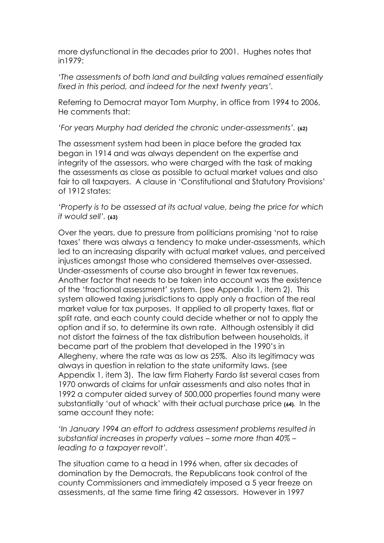more dysfunctional in the decades prior to 2001. Hughes notes that in1979:

*'The assessments of both land and building values remained essentially fixed in this period, and indeed for the next twenty years'.*

Referring to Democrat mayor Tom Murphy, in office from 1994 to 2006, He comments that:

*'For years Murphy had derided the chronic under-assessments'.* **(62)**

The assessment system had been in place before the graded tax began in 1914 and was always dependent on the expertise and integrity of the assessors, who were charged with the task of making the assessments as close as possible to actual market values and also fair to all taxpayers. A clause in 'Constitutional and Statutory Provisions' of 1912 states:

*'Property is to be assessed at its actual value, being the price for which it would sell'.* **(63)**

Over the years, due to pressure from politicians promising 'not to raise taxes' there was always a tendency to make under-assessments, which led to an increasing disparity with actual market values, and perceived injustices amongst those who considered themselves over-assessed. Under-assessments of course also brought in fewer tax revenues. Another factor that needs to be taken into account was the existence of the 'fractional assessment' system. (see Appendix 1, item 2). This system allowed taxing jurisdictions to apply only a fraction of the real market value for tax purposes. It applied to all property taxes, flat or split rate, and each county could decide whether or not to apply the option and if so, to determine its own rate. Although ostensibly it did not distort the fairness of the tax distribution between households, it became part of the problem that developed in the 1990's in Allegheny, where the rate was as low as 25%. Also its legitimacy was always in question in relation to the state uniformity laws. (see Appendix 1, item 3). The law firm Flaherty Fardo list several cases from 1970 onwards of claims for unfair assessments and also notes that in 1992 a computer aided survey of 500,000 properties found many were substantially 'out of whack' with their actual purchase price **(64).** In the same account they note:

*'In January 1994 an effort to address assessment problems resulted in substantial increases in property values – some more than 40% – leading to a taxpayer revolt'.*

The situation came to a head in 1996 when, after six decades of domination by the Democrats, the Republicans took control of the county Commissioners and immediately imposed a 5 year freeze on assessments, at the same time firing 42 assessors. However in 1997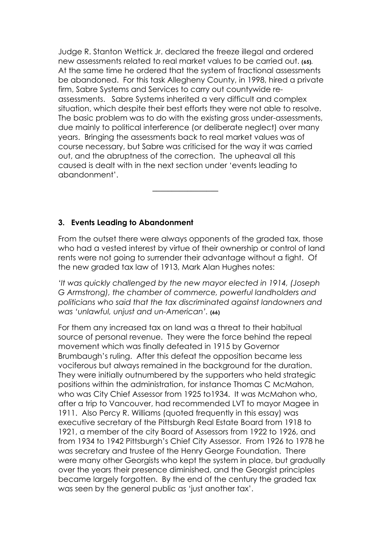Judge R. Stanton Wettick Jr. declared the freeze illegal and ordered new assessments related to real market values to be carried out. **(65).** At the same time he ordered that the system of fractional assessments be abandoned. For this task Allegheny County, in 1998, hired a private firm, Sabre Systems and Services to carry out countywide reassessments. Sabre Systems inherited a very difficult and complex situation, which despite their best efforts they were not able to resolve. The basic problem was to do with the existing gross under-assessments, due mainly to political interference (or deliberate neglect) over many years. Bringing the assessments back to real market values was of course necessary, but Sabre was criticised for the way it was carried out, and the abruptness of the correction. The upheaval all this caused is dealt with in the next section under 'events leading to abandonment'.

# **3. Events Leading to Abandonment**

–––––––––––––––––

From the outset there were always opponents of the graded tax, those who had a vested interest by virtue of their ownership or control of land rents were not going to surrender their advantage without a fight. Of the new graded tax law of 1913, Mark Alan Hughes notes:

*'It was quickly challenged by the new mayor elected in 1914, (Joseph G Armstrong), the chamber of commerce, powerful landholders and politicians who said that the tax discriminated against landowners and was 'unlawful, unjust and un-American'.* **(66)**

For them any increased tax on land was a threat to their habitual source of personal revenue. They were the force behind the repeal movement which was finally defeated in 1915 by Governor Brumbaugh's ruling. After this defeat the opposition became less vociferous but always remained in the background for the duration. They were initially outnumbered by the supporters who held strategic positions within the administration, for instance Thomas C McMahon, who was City Chief Assessor from 1925 to1934. It was McMahon who, after a trip to Vancouver, had recommended LVT to mayor Magee in 1911. Also Percy R. Williams (quoted frequently in this essay) was executive secretary of the Pittsburgh Real Estate Board from 1918 to 1921, a member of the city Board of Assessors from 1922 to 1926, and from 1934 to 1942 Pittsburgh's Chief City Assessor. From 1926 to 1978 he was secretary and trustee of the Henry George Foundation. There were many other Georgists who kept the system in place, but gradually over the years their presence diminished, and the Georgist principles became largely forgotten. By the end of the century the graded tax was seen by the general public as 'just another tax'.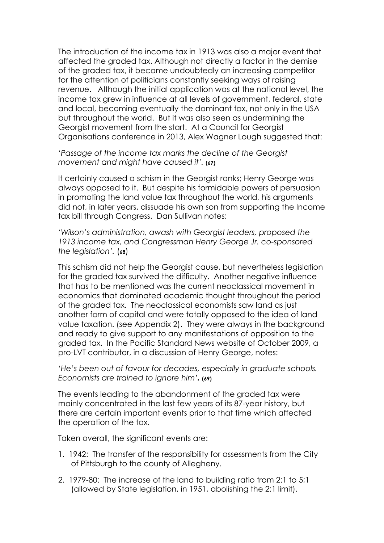The introduction of the income tax in 1913 was also a major event that affected the graded tax. Although not directly a factor in the demise of the graded tax, it became undoubtedly an increasing competitor for the attention of politicians constantly seeking ways of raising revenue. Although the initial application was at the national level, the income tax grew in influence at all levels of government, federal, state and local, becoming eventually the dominant tax, not only in the USA but throughout the world. But it was also seen as undermining the Georgist movement from the start. At a Council for Georgist Organisations conference in 2013, Alex Wagner Lough suggested that:

*'Passage of the income tax marks the decline of the Georgist movement and might have caused it'.* **(67)**

It certainly caused a schism in the Georgist ranks; Henry George was always opposed to it. But despite his formidable powers of persuasion in promoting the land value tax throughout the world, his arguments did not, in later years, dissuade his own son from supporting the Income tax bill through Congress. Dan Sullivan notes:

*'Wilson's administration, awash with Georgist leaders, proposed the 1913 income tax, and Congressman Henry George Jr. co-sponsored the legislation'.* (**68**)

This schism did not help the Georgist cause, but nevertheless legislation for the graded tax survived the difficulty. Another negative influence that has to be mentioned was the current neoclassical movement in economics that dominated academic thought throughout the period of the graded tax. The neoclassical economists saw land as just another form of capital and were totally opposed to the idea of land value taxation. (see Appendix 2). They were always in the background and ready to give support to any manifestations of opposition to the graded tax. In the Pacific Standard News website of October 2009, a pro-LVT contributor, in a discussion of Henry George, notes:

*'He's been out of favour for decades, especially in graduate schools. Economists are trained to ignore him'.* **(69)**

The events leading to the abandonment of the graded tax were mainly concentrated in the last few years of its 87-year history, but there are certain important events prior to that time which affected the operation of the tax.

Taken overall, the significant events are:

- 1. 1942: The transfer of the responsibility for assessments from the City of Pittsburgh to the county of Allegheny.
- 2. 1979-80: The increase of the land to building ratio from 2:1 to 5;1 (allowed by State legislation, in 1951, abolishing the 2:1 limit).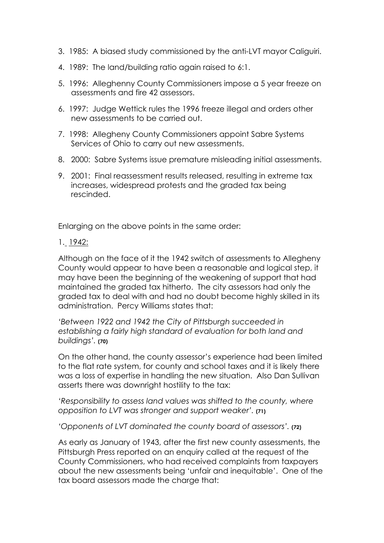- 3. 1985: A biased study commissioned by the anti-LVT mayor Caliguiri.
- 4. 1989: The land/building ratio again raised to 6:1.
- 5. 1996: Alleghenny County Commissioners impose a 5 year freeze on assessments and fire 42 assessors.
- 6. 1997: Judge Wettick rules the 1996 freeze illegal and orders other new assessments to be carried out.
- 7. 1998: Allegheny County Commissioners appoint Sabre Systems Services of Ohio to carry out new assessments.
- 8. 2000: Sabre Systems issue premature misleading initial assessments.
- 9. 2001: Final reassessment results released, resulting in extreme tax increases, widespread protests and the graded tax being rescinded.

Enlarging on the above points in the same order:

1. 1942:

Although on the face of it the 1942 switch of assessments to Allegheny County would appear to have been a reasonable and logical step, it may have been the beginning of the weakening of support that had maintained the graded tax hitherto. The city assessors had only the graded tax to deal with and had no doubt become highly skilled in its administration. Percy Williams states that:

*'Between 1922 and 1942 the City of Pittsburgh succeeded in establishing a fairly high standard of evaluation for both land and buildings'.* **(70)**

On the other hand, the county assessor's experience had been limited to the flat rate system, for county and school taxes and it is likely there was a loss of expertise in handling the new situation. Also Dan Sullivan asserts there was downright hostility to the tax:

*'Responsibility to assess land values was shifted to the county, where opposition to LVT was stronger and support weaker'.* **(71)**

*'Opponents of LVT dominated the county board of assessors'.* **(72)**

As early as January of 1943, after the first new county assessments, the Pittsburgh Press reported on an enquiry called at the request of the County Commissioners, who had received complaints from taxpayers about the new assessments being 'unfair and inequitable'. One of the tax board assessors made the charge that: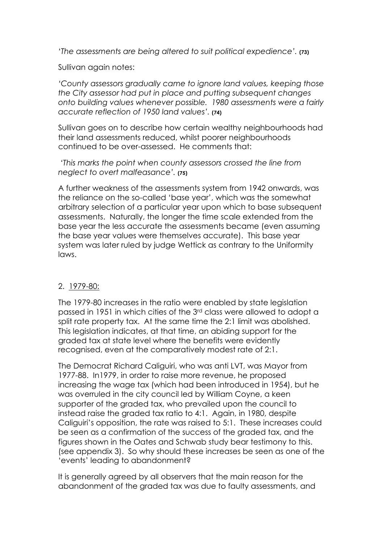'*The assessments are being altered to suit political expedience'.* **(73)**

Sullivan again notes:

*'County assessors gradually came to ignore land values, keeping those the City assessor had put in place and putting subsequent changes onto building values whenever possible. 1980 assessments were a fairly accurate reflection of 1950 land values'.* **(74)**

Sullivan goes on to describe how certain wealthy neighbourhoods had their land assessments reduced, whilst poorer neighbourhoods continued to be over-assessed. He comments that:

 *'This marks the point when county assessors crossed the line from neglect to overt malfeasance'.* **(75)**

A further weakness of the assessments system from 1942 onwards, was the reliance on the so-called 'base year', which was the somewhat arbitrary selection of a particular year upon which to base subsequent assessments. Naturally, the longer the time scale extended from the base year the less accurate the assessments became (even assuming the base year values were themselves accurate). This base year system was later ruled by judge Wettick as contrary to the Uniformity laws.

# 2. 1979-80:

The 1979-80 increases in the ratio were enabled by state legislation passed in 1951 in which cities of the 3rd class were allowed to adopt a split rate property tax. At the same time the 2:1 limit was abolished. This legislation indicates, at that time, an abiding support for the graded tax at state level where the benefits were evidently recognised, even at the comparatively modest rate of 2:1.

The Democrat Richard Caliguiri, who was anti LVT, was Mayor from 1977-88. In1979, in order to raise more revenue, he proposed increasing the wage tax (which had been introduced in 1954), but he was overruled in the city council led by William Coyne, a keen supporter of the graded tax, who prevailed upon the council to instead raise the graded tax ratio to 4:1. Again, in 1980, despite Caliguiri's opposition, the rate was raised to 5:1. These increases could be seen as a confirmation of the success of the graded tax, and the figures shown in the Oates and Schwab study bear testimony to this. (see appendix 3). So why should these increases be seen as one of the 'events' leading to abandonment?

It is generally agreed by all observers that the main reason for the abandonment of the graded tax was due to faulty assessments, and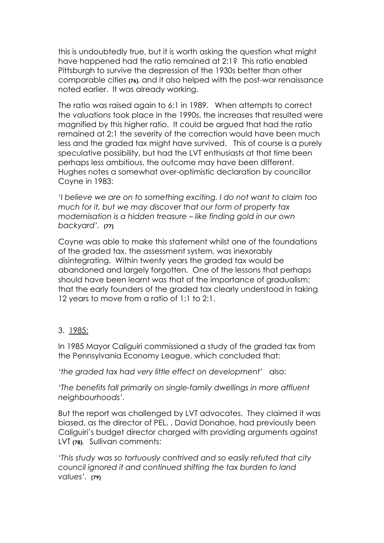this is undoubtedly true, but it is worth asking the question what might have happened had the ratio remained at 2:1? This ratio enabled Pittsburgh to survive the depression of the 1930s better than other comparable cities **(76),** and it also helped with the post-war renaissance noted earlier. It was already working.

The ratio was raised again to 6:1 in 1989. When attempts to correct the valuations took place in the 1990s, the increases that resulted were magnified by this higher ratio. It could be argued that had the ratio remained at 2:1 the severity of the correction would have been much less and the graded tax might have survived. This of course is a purely speculative possibility, but had the LVT enthusiasts at that time been perhaps less ambitious, the outcome may have been different. Hughes notes a somewhat over-optimistic declaration by councillor Coyne in 1983:

*'I believe we are on to something exciting. I do not want to claim too much for it, but we may discover that our form of property tax modernisation is a hidden treasure – like finding gold in our own backyard'.* **(77)**

Coyne was able to make this statement whilst one of the foundations of the graded tax, the assessment system, was inexorably disintegrating. Within twenty years the graded tax would be abandoned and largely forgotten. One of the lessons that perhaps should have been learnt was that of the importance of gradualism; that the early founders of the graded tax clearly understood in taking 12 years to move from a ratio of 1:1 to 2:1.

# 3. 1985:

In 1985 Mayor Caliguiri commissioned a study of the graded tax from the Pennsylvania Economy League, which concluded that:

*'the graded tax had very little effect on development'* also:

*'The benefits fall primarily on single-family dwellings in more affluent neighbourhoods'.*

But the report was challenged by LVT advocates. They claimed it was biased, as the director of PEL. , David Donahoe, had previously been Caliguiri's budget director charged with providing arguments against LVT **(78).** Sullivan comments:

*'This study was so tortuously contrived and so easily refuted that city council ignored it and continued shifting the tax burden to land values'.* **(79)**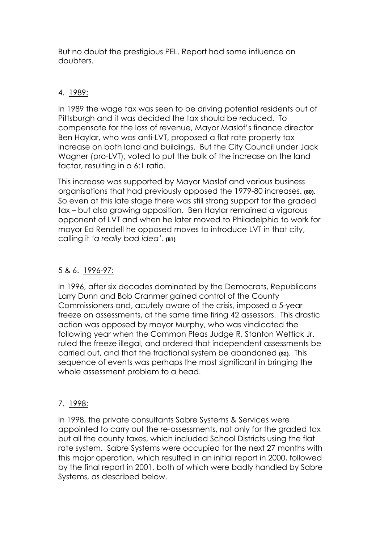But no doubt the prestigious PEL. Report had some influence on doubters.

# 4. 1989:

In 1989 the wage tax was seen to be driving potential residents out of Pittsburgh and it was decided the tax should be reduced. To compensate for the loss of revenue, Mayor Maslof's finance director Ben Haylar, who was anti-LVT, proposed a flat rate property tax increase on both land and buildings. But the City Council under Jack Wagner (pro-LVT), voted to put the bulk of the increase on the land factor, resulting in a 6:1 ratio.

This increase was supported by Mayor Maslof and various business organisations that had previously opposed the 1979-80 increases. **(80).** So even at this late stage there was still strong support for the graded tax – but also growing opposition. Ben Haylar remained a vigorous opponent of LVT and when he later moved to Philadelphia to work for mayor Ed Rendell he opposed moves to introduce LVT in that city, calling it *'a really bad idea'.* **(81)**

# 5 & 6. 1996-97:

In 1996, after six decades dominated by the Democrats, Republicans Larry Dunn and Bob Cranmer gained control of the County Commissioners and, acutely aware of the crisis, imposed a 5-year freeze on assessments, at the same time firing 42 assessors. This drastic action was opposed by mayor Murphy, who was vindicated the following year when the Common Pleas Judge R. Stanton Wettick Jr. ruled the freeze illegal, and ordered that independent assessments be carried out, and that the fractional system be abandoned **(82).** This sequence of events was perhaps the most significant in bringing the whole assessment problem to a head.

# 7. 1998:

In 1998, the private consultants Sabre Systems & Services were appointed to carry out the re-assessments, not only for the graded tax but all the county taxes, which included School Districts using the flat rate system. Sabre Systems were occupied for the next 27 months with this major operation, which resulted in an initial report in 2000, followed by the final report in 2001, both of which were badly handled by Sabre Systems, as described below.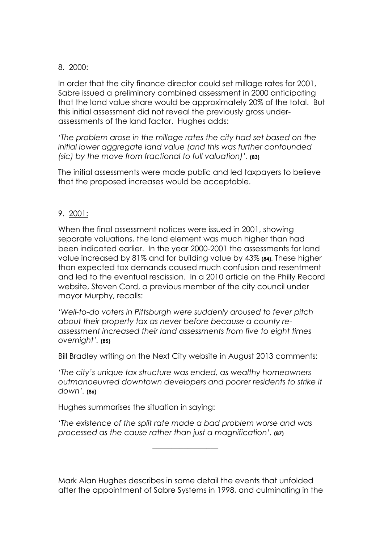# 8. 2000:

In order that the city finance director could set millage rates for 2001, Sabre issued a preliminary combined assessment in 2000 anticipating that the land value share would be approximately 20% of the total. But this initial assessment did not reveal the previously gross underassessments of the land factor. Hughes adds:

*'The problem arose in the millage rates the city had set based on the initial lower aggregate land value (and this was further confounded (sic) by the move from fractional to full valuation)'.* **(83)**

The initial assessments were made public and led taxpayers to believe that the proposed increases would be acceptable.

# 9. 2001:

When the final assessment notices were issued in 2001, showing separate valuations, the land element was much higher than had been indicated earlier. In the year 2000-2001 the assessments for land value increased by 81% and for building value by 43% **(84).** These higher than expected tax demands caused much confusion and resentment and led to the eventual rescission. In a 2010 article on the Philly Record website, Steven Cord, a previous member of the city council under mayor Murphy, recalls:

*'Well-to-do voters in Pittsburgh were suddenly aroused to fever pitch about their property tax as never before because a county reassessment increased their land assessments from five to eight times overnight'.* **(85)**

Bill Bradley writing on the Next City website in August 2013 comments:

*'The city's unique tax structure was ended, as wealthy homeowners outmanoeuvred downtown developers and poorer residents to strike it down'.* **(86)**

Hughes summarises the situation in saying:

–––––––––––––––––

*'The existence of the split rate made a bad problem worse and was processed as the cause rather than just a magnification'.* **(87)**

Mark Alan Hughes describes in some detail the events that unfolded after the appointment of Sabre Systems in 1998, and culminating in the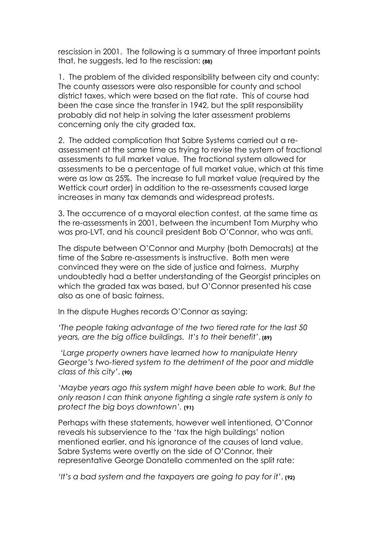rescission in 2001. The following is a summary of three important points that, he suggests, led to the rescission: **(88)**

1. The problem of the divided responsibility between city and county: The county assessors were also responsible for county and school district taxes, which were based on the flat rate. This of course had been the case since the transfer in 1942, but the split responsibility probably did not help in solving the later assessment problems concerning only the city graded tax.

2. The added complication that Sabre Systems carried out a reassessment at the same time as trying to revise the system of fractional assessments to full market value. The fractional system allowed for assessments to be a percentage of full market value, which at this time were as low as 25%. The increase to full market value (required by the Wettick court order) in addition to the re-assessments caused large increases in many tax demands and widespread protests.

3. The occurrence of a mayoral election contest, at the same time as the re-assessments in 2001, between the incumbent Tom Murphy who was pro-LVT, and his council president Bob O'Connor, who was anti.

The dispute between O'Connor and Murphy (both Democrats) at the time of the Sabre re-assessments is instructive. Both men were convinced they were on the side of justice and fairness. Murphy undoubtedly had a better understanding of the Georgist principles on which the graded tax was based, but O'Connor presented his case also as one of basic fairness.

In the dispute Hughes records O'Connor as saying:

*'The people taking advantage of the two tiered rate for the last 50 years, are the big office buildings. It's to their benefit'*. **(89)**

 *'Large property owners have learned how to manipulate Henry George's two-tiered system to the detriment of the poor and middle class of this city'*. **(90)**

'Maybe years ago this system might have been able to work. But the *only reason I can think anyone fighting a single rate system is only to protect the big boys downtown'.* **(91)** 

Perhaps with these statements, however well intentioned, O'Connor reveals his subservience to the 'tax the high buildings' notion mentioned earlier, and his ignorance of the causes of land value. Sabre Systems were overtly on the side of O'Connor, their representative George Donatello commented on the split rate:

*'It's a bad system and the taxpayers are going to pay for it'*. **(92)**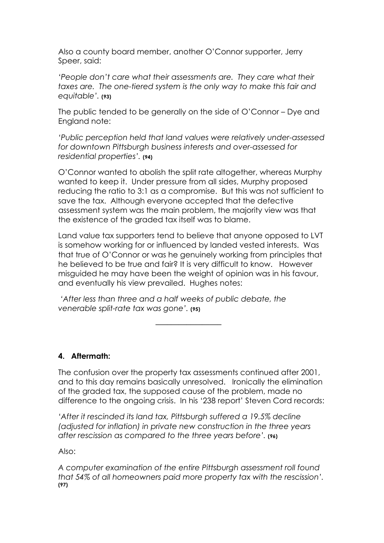Also a county board member, another O'Connor supporter, Jerry Speer, said:

*'People don't care what their assessments are. They care what their taxes are. The one-tiered system is the only way to make this fair and equitable'.* **(93)**

The public tended to be generally on the side of O'Connor – Dye and England note:

*'Public perception held that land values were relatively under-assessed for downtown Pittsburgh business interests and over-assessed for residential properties'.* **(94)**

O'Connor wanted to abolish the split rate altogether, whereas Murphy wanted to keep it. Under pressure from all sides, Murphy proposed reducing the ratio to 3:1 as a compromise. But this was not sufficient to save the tax. Although everyone accepted that the defective assessment system was the main problem, the majority view was that the existence of the graded tax itself was to blame.

Land value tax supporters tend to believe that anyone opposed to LVT is somehow working for or influenced by landed vested interests. Was that true of O'Connor or was he genuinely working from principles that he believed to be true and fair? It is very difficult to know. However misguided he may have been the weight of opinion was in his favour, and eventually his view prevailed. Hughes notes:

 *'After less than three and a half weeks of public debate, the venerable split-rate tax was gone'.* **(95)**

–––––––––––––––––

# **4. Aftermath:**

The confusion over the property tax assessments continued after 2001, and to this day remains basically unresolved. Ironically the elimination of the graded tax, the supposed cause of the problem, made no difference to the ongoing crisis. In his '238 report' Steven Cord records:

*'After it rescinded its land tax, Pittsburgh suffered a 19.5% decline (adjusted for inflation) in private new construction in the three years after rescission as compared to the three years before'.* **(96)**

Also:

*A computer examination of the entire Pittsburgh assessment roll found that 54% of all homeowners paid more property tax with the rescission'.* **(97)**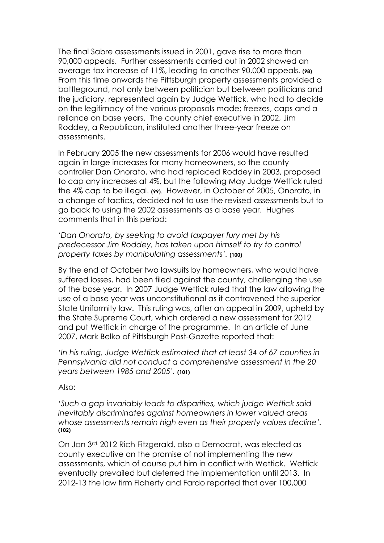The final Sabre assessments issued in 2001, gave rise to more than 90,000 appeals. Further assessments carried out in 2002 showed an average tax increase of 11%, leading to another 90,000 appeals. **(98)** From this time onwards the Pittsburgh property assessments provided a battleground, not only between politician but between politicians and the judiciary, represented again by Judge Wettick, who had to decide on the legitimacy of the various proposals made; freezes, caps and a reliance on base years. The county chief executive in 2002, Jim Roddey, a Republican, instituted another three-year freeze on assessments.

In February 2005 the new assessments for 2006 would have resulted again in large increases for many homeowners, so the county controller Dan Onorato, who had replaced Roddey in 2003, proposed to cap any increases at 4%, but the following May Judge Wettick ruled the 4% cap to be illegal. **(99)**. However, in October of 2005, Onorato, in a change of tactics, decided not to use the revised assessments but to go back to using the 2002 assessments as a base year. Hughes comments that in this period:

*'Dan Onorato, by seeking to avoid taxpayer fury met by his predecessor Jim Roddey, has taken upon himself to try to control property taxes by manipulating assessments'.* **(100)**

By the end of October two lawsuits by homeowners, who would have suffered losses, had been filed against the county, challenging the use of the base year. In 2007 Judge Wettick ruled that the law allowing the use of a base year was unconstitutional as it contravened the superior State Uniformity law. This ruling was, after an appeal in 2009, upheld by the State Supreme Court, which ordered a new assessment for 2012 and put Wettick in charge of the programme. In an article of June 2007, Mark Belko of Pittsburgh Post-Gazette reported that:

*'In his ruling, Judge Wettick estimated that at least 34 of 67 counties in Pennsylvania did not conduct a comprehensive assessment in the 20 years between 1985 and 2005'.* **(101)**

Also:

*'Such a gap invariably leads to disparities, which judge Wettick said inevitably discriminates against homeowners in lower valued areas whose assessments remain high even as their property values decline'.* **(102)**

On Jan 3rd. 2012 Rich Fitzgerald, also a Democrat, was elected as county executive on the promise of not implementing the new assessments, which of course put him in conflict with Wettick. Wettick eventually prevailed but deferred the implementation until 2013. In 2012-13 the law firm Flaherty and Fardo reported that over 100,000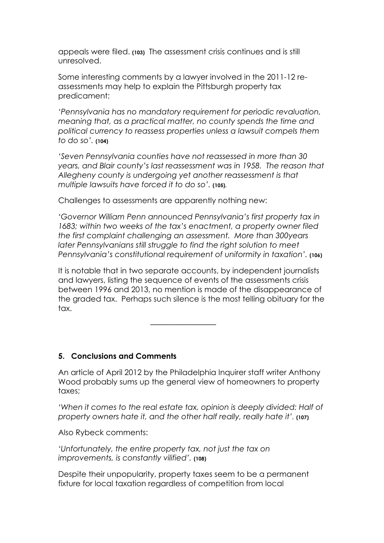appeals were filed. **(103)** The assessment crisis continues and is still unresolved.

Some interesting comments by a lawyer involved in the 2011-12 reassessments may help to explain the Pittsburgh property tax predicament:

*'Pennsylvania has no mandatory requirement for periodic revaluation, meaning that, as a practical matter, no county spends the time and political currency to reassess properties unless a lawsuit compels them to do so'.* **(104)**

*'Seven Pennsylvania counties have not reassessed in more than 30 years, and Blair county's last reassessment was in 1958. The reason that Allegheny county is undergoing yet another reassessment is that multiple lawsuits have forced it to do so'.* **(105).**

Challenges to assessments are apparently nothing new:

*'Governor William Penn announced Pennsylvania's first property tax in 1683; within two weeks of the tax's enactment, a property owner filed the first complaint challenging an assessment. More than 300years later Pennsylvanians still struggle to find the right solution to meet Pennsylvania's constitutional requirement of uniformity in taxation'.* (106)

It is notable that in two separate accounts, by independent journalists and lawyers, listing the sequence of events of the assessments crisis between 1996 and 2013, no mention is made of the disappearance of the graded tax. Perhaps such silence is the most telling obituary for the tax.

–––––––––––––––––

# **5. Conclusions and Comments**

An article of April 2012 by the Philadelphia Inquirer staff writer Anthony Wood probably sums up the general view of homeowners to property taxes;

'When it comes to the real estate tax, opinion is deeply divided: Half of *property owners hate it, and the other half really, really hate it'.* **(107)**

Also Rybeck comments:

*'Unfortunately, the entire property tax, not just the tax on improvements, is constantly vilified'.* **(108)**

Despite their unpopularity, property taxes seem to be a permanent fixture for local taxation regardless of competition from local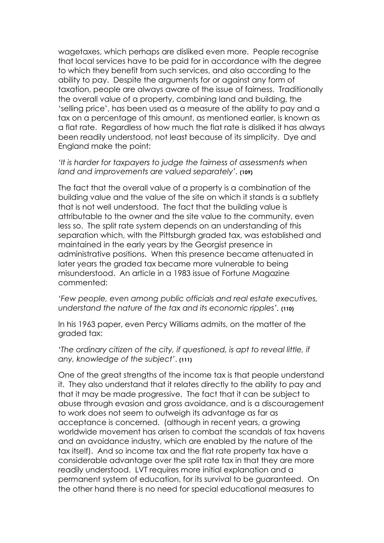wagetaxes, which perhaps are disliked even more. People recognise that local services have to be paid for in accordance with the degree to which they benefit from such services, and also according to the ability to pay. Despite the arguments for or against any form of taxation, people are always aware of the issue of fairness. Traditionally the overall value of a property, combining land and building, the 'selling price', has been used as a measure of the ability to pay and a tax on a percentage of this amount, as mentioned earlier, is known as a flat rate. Regardless of how much the flat rate is disliked it has always been readily understood, not least because of its simplicity. Dye and England make the point:

*'It is harder for taxpayers to judge the fairness of assessments when land and improvements are valued separately'.* **(109)**

The fact that the overall value of a property is a combination of the building value and the value of the site on which it stands is a subtlety that is not well understood. The fact that the building value is attributable to the owner and the site value to the community, even less so. The split rate system depends on an understanding of this separation which, with the Pittsburgh graded tax, was established and maintained in the early years by the Georgist presence in administrative positions. When this presence became attenuated in later years the graded tax became more vulnerable to being misunderstood. An article in a 1983 issue of Fortune Magazine commented:

*'Few people, even among public officials and real estate executives, understand the nature of the tax and its economic ripples'.* **(110)**

In his 1963 paper, even Percy Williams admits, on the matter of the graded tax:

*'The ordinary citizen of the city, if questioned, is apt to reveal little, if any, knowledge of the subject'*. **(111)**

One of the great strengths of the income tax is that people understand it. They also understand that it relates directly to the ability to pay and that it may be made progressive. The fact that it can be subject to abuse through evasion and gross avoidance, and is a discouragement to work does not seem to outweigh its advantage as far as acceptance is concerned. (although in recent years, a growing worldwide movement has arisen to combat the scandals of tax havens and an avoidance industry, which are enabled by the nature of the tax itself). And so income tax and the flat rate property tax have a considerable advantage over the split rate tax in that they are more readily understood. LVT requires more initial explanation and a permanent system of education, for its survival to be guaranteed. On the other hand there is no need for special educational measures to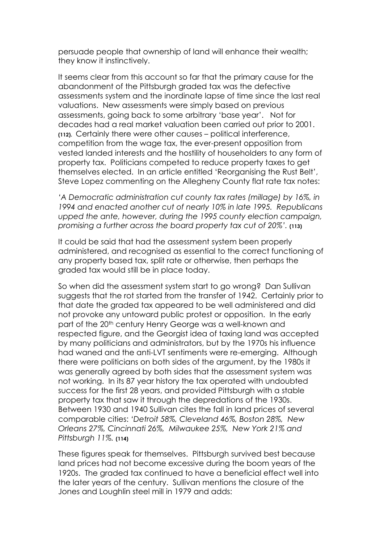persuade people that ownership of land will enhance their wealth; they know it instinctively.

It seems clear from this account so far that the primary cause for the abandonment of the Pittsburgh graded tax was the defective assessments system and the inordinate lapse of time since the last real valuations. New assessments were simply based on previous assessments, going back to some arbitrary 'base year'. Not for decades had a real market valuation been carried out prior to 2001. **(112).** Certainly there were other causes – political interference, competition from the wage tax, the ever-present opposition from vested landed interests and the hostility of householders to any form of property tax. Politicians competed to reduce property taxes to get themselves elected. In an article entitled 'Reorganising the Rust Belt', Steve Lopez commenting on the Allegheny County flat rate tax notes:

*'A Democratic administration cut county tax rates (millage) by 16%, in 1994 and enacted another cut of nearly 10% in late 1995. Republicans upped the ante, however, during the 1995 county election campaign, promising a further across the board property tax cut of 20%'.* **(113)**

It could be said that had the assessment system been properly administered, and recognised as essential to the correct functioning of any property based tax, split rate or otherwise, then perhaps the graded tax would still be in place today.

So when did the assessment system start to go wrong? Dan Sullivan suggests that the rot started from the transfer of 1942. Certainly prior to that date the graded tax appeared to be well administered and did not provoke any untoward public protest or opposition. In the early part of the 20<sup>th</sup> century Henry George was a well-known and respected figure, and the Georgist idea of taxing land was accepted by many politicians and administrators, but by the 1970s his influence had waned and the anti-LVT sentiments were re-emerging. Although there were politicians on both sides of the argument, by the 1980s it was generally agreed by both sides that the assessment system was not working. In its 87 year history the tax operated with undoubted success for the first 28 years, and provided Pittsburgh with a stable property tax that saw it through the depredations of the 1930s. Between 1930 and 1940 Sullivan cites the fall in land prices of several comparable cities: *'Detroit 58%, Cleveland 46%, Boston 28%, New Orleans 27%, Cincinnati 26%, Milwaukee 25%, New York 21% and Pittsburgh 11%.* **(114)**

These figures speak for themselves. Pittsburgh survived best because land prices had not become excessive during the boom years of the 1920s. The graded tax continued to have a beneficial effect well into the later years of the century. Sullivan mentions the closure of the Jones and Loughlin steel mill in 1979 and adds: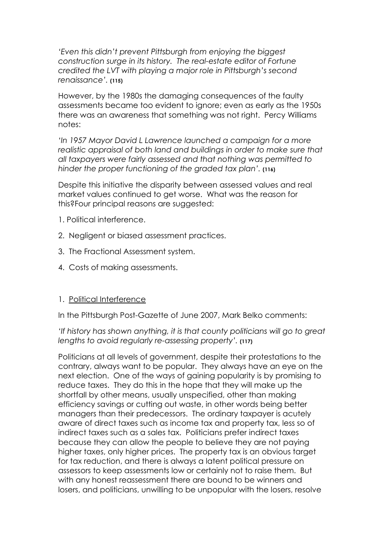*'Even this didn't prevent Pittsburgh from enjoying the biggest construction surge in its history. The real-estate editor of Fortune credited the LVT with playing a major role in Pittsburgh's second renaissance'.* **(115)**

However, by the 1980s the damaging consequences of the faulty assessments became too evident to ignore; even as early as the 1950s there was an awareness that something was not right. Percy Williams notes:

*'In 1957 Mayor David L Lawrence launched a campaign for a more realistic appraisal of both land and buildings in order to make sure that all taxpayers were fairly assessed and that nothing was permitted to hinder the proper functioning of the graded tax plan'.* **(116)**

Despite this initiative the disparity between assessed values and real market values continued to get worse. What was the reason for this?Four principal reasons are suggested:

- 1. Political interference.
- 2. Negligent or biased assessment practices.
- 3. The Fractional Assessment system.
- 4. Costs of making assessments.

#### 1. Political Interference

In the Pittsburgh Post-Gazette of June 2007, Mark Belko comments:

### *'If history has shown anything, it is that county politicians will go to great lengths to avoid regularly re-assessing property'.* **(117)**

Politicians at all levels of government, despite their protestations to the contrary, always want to be popular. They always have an eye on the next election. One of the ways of gaining popularity is by promising to reduce taxes. They do this in the hope that they will make up the shortfall by other means, usually unspecified, other than making efficiency savings or cutting out waste, in other words being better managers than their predecessors. The ordinary taxpayer is acutely aware of direct taxes such as income tax and property tax, less so of indirect taxes such as a sales tax. Politicians prefer indirect taxes because they can allow the people to believe they are not paying higher taxes, only higher prices. The property tax is an obvious target for tax reduction, and there is always a latent political pressure on assessors to keep assessments low or certainly not to raise them. But with any honest reassessment there are bound to be winners and losers, and politicians, unwilling to be unpopular with the losers, resolve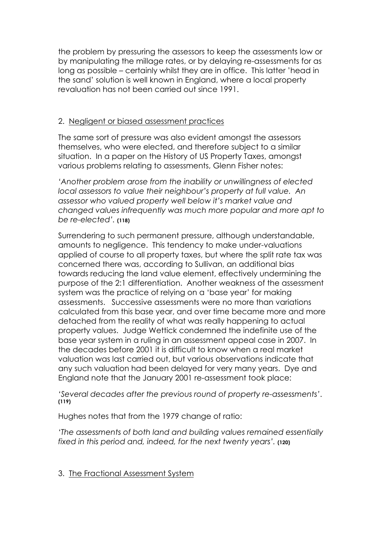the problem by pressuring the assessors to keep the assessments low or by manipulating the millage rates, or by delaying re-assessments for as long as possible – certainly whilst they are in office. This latter 'head in the sand' solution is well known in England, where a local property revaluation has not been carried out since 1991.

# 2. Negligent or biased assessment practices

The same sort of pressure was also evident amongst the assessors themselves, who were elected, and therefore subject to a similar situation. In a paper on the History of US Property Taxes, amongst various problems relating to assessments, Glenn Fisher notes:

*'Another problem arose from the inability or unwillingness of elected local assessors to value their neighbour's property at full value. An assessor who valued property well below it's market value and changed values infrequently was much more popular and more apt to be re-elected'.* **(118)**

Surrendering to such permanent pressure, although understandable, amounts to negligence. This tendency to make under-valuations applied of course to all property taxes, but where the split rate tax was concerned there was, according to Sullivan, an additional bias towards reducing the land value element, effectively undermining the purpose of the 2:1 differentiation. Another weakness of the assessment system was the practice of relying on a 'base year' for making assessments. Successive assessments were no more than variations calculated from this base year, and over time became more and more detached from the reality of what was really happening to actual property values. Judge Wettick condemned the indefinite use of the base year system in a ruling in an assessment appeal case in 2007. In the decades before 2001 it is difficult to know when a real market valuation was last carried out, but various observations indicate that any such valuation had been delayed for very many years. Dye and England note that the January 2001 re-assessment took place:

*'Several decades after the previous round of property re-assessments'*. **(119)**

Hughes notes that from the 1979 change of ratio:

*'The assessments of both land and building values remained essentially fixed in this period and, indeed, for the next twenty years'.* **(120)**

# 3. The Fractional Assessment System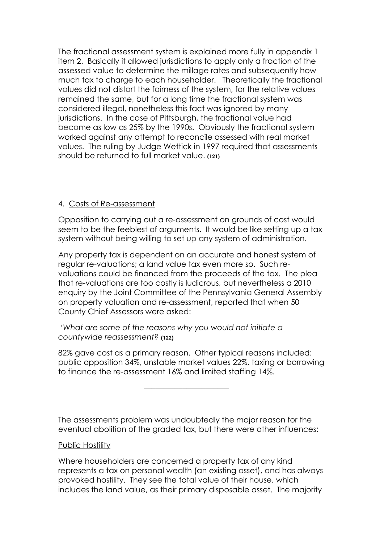The fractional assessment system is explained more fully in appendix 1 item 2. Basically it allowed jurisdictions to apply only a fraction of the assessed value to determine the millage rates and subsequently how much tax to charge to each householder. Theoretically the fractional values did not distort the fairness of the system, for the relative values remained the same, but for a long time the fractional system was considered illegal, nonetheless this fact was ignored by many jurisdictions. In the case of Pittsburgh, the fractional value had become as low as 25% by the 1990s. Obviously the fractional system worked against any attempt to reconcile assessed with real market values. The ruling by Judge Wettick in 1997 required that assessments should be returned to full market value. **(121)**

# 4. Costs of Re-assessment

Opposition to carrying out a re-assessment on grounds of cost would seem to be the feeblest of arguments. It would be like setting up a tax system without being willing to set up any system of administration.

Any property tax is dependent on an accurate and honest system of regular re-valuations; a land value tax even more so. Such revaluations could be financed from the proceeds of the tax. The plea that re-valuations are too costly is ludicrous, but nevertheless a 2010 enquiry by the Joint Committee of the Pennsylvania General Assembly on property valuation and re-assessment, reported that when 50 County Chief Assessors were asked:

*'What are some of the reasons why you would not initiate a countywide reassessment?* **(122)**

––––––––––––––––––––––

82% gave cost as a primary reason. Other typical reasons included: public opposition 34%, unstable market values 22%, taxing or borrowing to finance the re-assessment 16% and limited staffing 14%.

The assessments problem was undoubtedly the major reason for the eventual abolition of the graded tax, but there were other influences:

# Public Hostility

Where householders are concerned a property tax of any kind represents a tax on personal wealth (an existing asset), and has always provoked hostility. They see the total value of their house, which includes the land value, as their primary disposable asset. The majority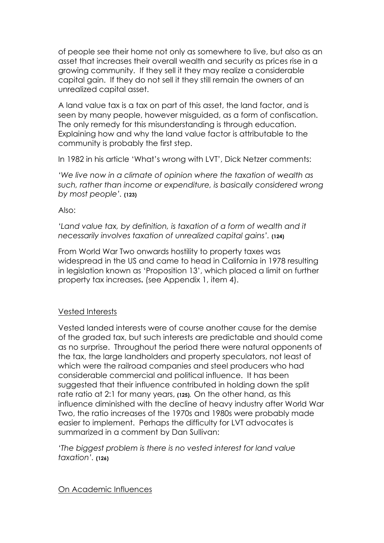of people see their home not only as somewhere to live, but also as an asset that increases their overall wealth and security as prices rise in a growing community. If they sell it they may realize a considerable capital gain. If they do not sell it they still remain the owners of an unrealized capital asset.

A land value tax is a tax on part of this asset, the land factor, and is seen by many people, however misguided, as a form of confiscation. The only remedy for this misunderstanding is through education. Explaining how and why the land value factor is attributable to the community is probably the first step.

In 1982 in his article 'What's wrong with LVT', Dick Netzer comments:

*'We live now in a climate of opinion where the taxation of wealth as such, rather than income or expenditure, is basically considered wrong by most people'.* **(123)**

Also:

'Land value tax, by definition, is taxation of a form of wealth and it *necessarily involves taxation of unrealized capital gains'.* **(124)**

From World War Two onwards hostility to property taxes was widespread in the US and came to head in California in 1978 resulting in legislation known as 'Proposition 13', which placed a limit on further property tax increases**.** (see Appendix 1, item 4).

# Vested Interests

Vested landed interests were of course another cause for the demise of the graded tax, but such interests are predictable and should come as no surprise. Throughout the period there were natural opponents of the tax, the large landholders and property speculators, not least of which were the railroad companies and steel producers who had considerable commercial and political influence. It has been suggested that their influence contributed in holding down the split rate ratio at 2:1 for many years, **(125).** On the other hand, as this influence diminished with the decline of heavy industry after World War Two, the ratio increases of the 1970s and 1980s were probably made easier to implement. Perhaps the difficulty for LVT advocates is summarized in a comment by Dan Sullivan:

*'The biggest problem is there is no vested interest for land value taxation'.* **(126)**

On Academic Influences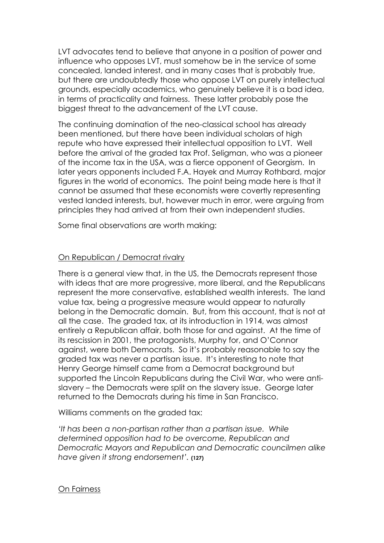LVT advocates tend to believe that anyone in a position of power and influence who opposes LVT, must somehow be in the service of some concealed, landed interest, and in many cases that is probably true, but there are undoubtedly those who oppose LVT on purely intellectual grounds, especially academics, who genuinely believe it is a bad idea, in terms of practicality and fairness. These latter probably pose the biggest threat to the advancement of the LVT cause.

The continuing domination of the neo-classical school has already been mentioned, but there have been individual scholars of high repute who have expressed their intellectual opposition to LVT. Well before the arrival of the graded tax Prof. Seligman, who was a pioneer of the income tax in the USA, was a fierce opponent of Georgism. In later years opponents included F.A. Hayek and Murray Rothbard, major figures in the world of economics. The point being made here is that it cannot be assumed that these economists were covertly representing vested landed interests, but, however much in error, were arguing from principles they had arrived at from their own independent studies.

Some final observations are worth making:

### On Republican / Democrat rivalry

There is a general view that, in the US, the Democrats represent those with ideas that are more progressive, more liberal, and the Republicans represent the more conservative, established wealth interests. The land value tax, being a progressive measure would appear to naturally belong in the Democratic domain. But, from this account, that is not at all the case. The graded tax, at its introduction in 1914, was almost entirely a Republican affair, both those for and against. At the time of its rescission in 2001, the protagonists, Murphy for, and O'Connor against, were both Democrats. So it's probably reasonable to say the graded tax was never a partisan issue. It's interesting to note that Henry George himself came from a Democrat background but supported the Lincoln Republicans during the Civil War, who were antislavery – the Democrats were split on the slavery issue. George later returned to the Democrats during his time in San Francisco.

Williams comments on the graded tax:

*'It has been a non-partisan rather than a partisan issue. While determined opposition had to be overcome, Republican and Democratic Mayors and Republican and Democratic councilmen alike have given it strong endorsement'.* **(127)**

#### On Fairness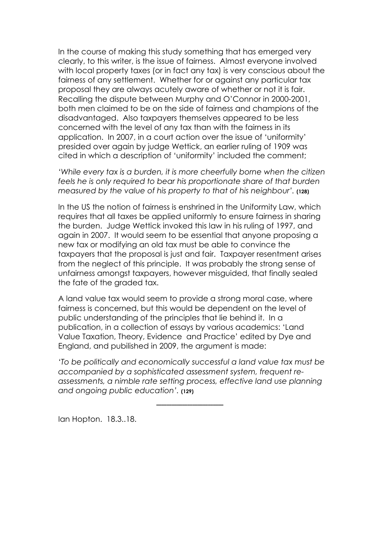In the course of making this study something that has emerged very clearly, to this writer, is the issue of fairness. Almost everyone involved with local property taxes (or in fact any tax) is very conscious about the fairness of any settlement. Whether for or against any particular tax proposal they are always acutely aware of whether or not it is fair. Recalling the dispute between Murphy and O'Connor in 2000-2001, both men claimed to be on the side of fairness and champions of the disadvantaged. Also taxpayers themselves appeared to be less concerned with the level of any tax than with the fairness in its application. In 2007, in a court action over the issue of 'uniformity' presided over again by judge Wettick, an earlier ruling of 1909 was cited in which a description of 'uniformity' included the comment;

*'While every tax is a burden, it is more cheerfully borne when the citizen feels he is only required to bear his proportionate share of that burden measured by the value of his property to that of his neighbour'.* **(128)**

In the US the notion of fairness is enshrined in the Uniformity Law, which requires that all taxes be applied uniformly to ensure fairness in sharing the burden. Judge Wettick invoked this law in his ruling of 1997, and again in 2007. It would seem to be essential that anyone proposing a new tax or modifying an old tax must be able to convince the taxpayers that the proposal is just and fair. Taxpayer resentment arises from the neglect of this principle. It was probably the strong sense of unfairness amongst taxpayers, however misguided, that finally sealed the fate of the graded tax.

A land value tax would seem to provide a strong moral case, where fairness is concerned, but this would be dependent on the level of public understanding of the principles that lie behind it. In a publication, in a collection of essays by various academics: 'Land Value Taxation, Theory, Evidence and Practice' edited by Dye and England, and pubilished in 2009, the argument is made:

*'To be politically and economically successful a land value tax must be accompanied by a sophisticated assessment system, frequent reassessments, a nimble rate setting process, effective land use planning and ongoing public education'.* **(129)**

Ian Hopton. 18.3..18.

 **––––––––––––––––––––––––––**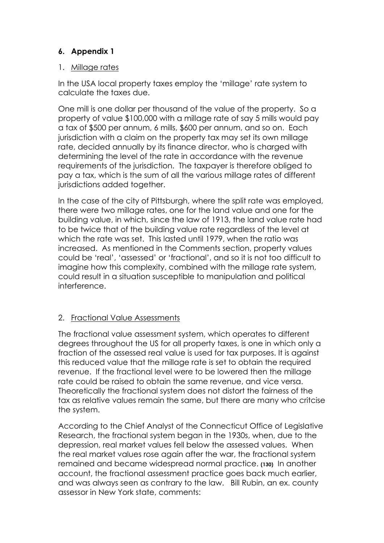# **6. Appendix 1**

# 1. Millage rates

In the USA local property taxes employ the 'millage' rate system to calculate the taxes due.

One mill is one dollar per thousand of the value of the property. So a property of value \$100,000 with a millage rate of say 5 mills would pay a tax of \$500 per annum, 6 mills, \$600 per annum, and so on. Each jurisdiction with a claim on the property tax may set its own millage rate, decided annually by its finance director, who is charged with determining the level of the rate in accordance with the revenue requirements of the jurisdiction. The taxpayer is therefore obliged to pay a tax, which is the sum of all the various millage rates of different jurisdictions added together.

In the case of the city of Pittsburgh, where the split rate was employed, there were two millage rates, one for the land value and one for the building value, in which, since the law of 1913, the land value rate had to be twice that of the building value rate regardless of the level at which the rate was set. This lasted until 1979, when the ratio was increased. As mentioned in the Comments section, property values could be 'real', 'assessed' or 'fractional', and so it is not too difficult to imagine how this complexity, combined with the millage rate system, could result in a situation susceptible to manipulation and political interference.

# 2. Fractional Value Assessments

The fractional value assessment system, which operates to different degrees throughout the US for all property taxes, is one in which only a fraction of the assessed real value is used for tax purposes. It is against this reduced value that the millage rate is set to obtain the required revenue. If the fractional level were to be lowered then the millage rate could be raised to obtain the same revenue, and vice versa. Theoretically the fractional system does not distort the fairness of the tax as relative values remain the same, but there are many who critcise the system.

According to the Chief Analyst of the Connecticut Office of Legislative Research, the fractional system began in the 1930s, when, due to the depression, real market values fell below the assessed values. When the real market values rose again after the war, the fractional system remained and became widespread normal practice. **(130)** In another account, the fractional assessment practice goes back much earlier, and was always seen as contrary to the law. Bill Rubin, an ex. county assessor in New York state, comments: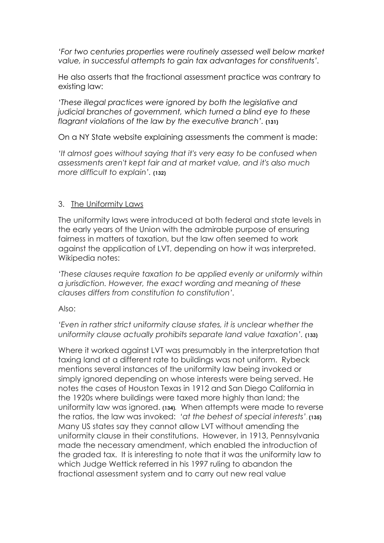*'For two centuries properties were routinely assessed well below market value, in successful attempts to gain tax advantages for constituents'.* 

He also asserts that the fractional assessment practice was contrary to existing law:

*'These illegal practices were ignored by both the legislative and judicial branches of government, which turned a blind eye to these flagrant violations of the law by the executive branch'.* **(131)**

On a NY State website explaining assessments the comment is made:

*'It almost goes without saying that it's very easy to be confused when assessments aren't kept fair and at market value, and it's also much more difficult to explain'.* **(132)**

### 3. The Uniformity Laws

The uniformity laws were introduced at both federal and state levels in the early years of the Union with the admirable purpose of ensuring fairness in matters of taxation, but the law often seemed to work against the application of LVT, depending on how it was interpreted. Wikipedia notes:

*'These clauses require taxation to be applied evenly or uniformly within a jurisdiction. However, the exact wording and meaning of these clauses differs from constitution to constitution'.* 

Also:

*'Even in rather strict uniformity clause states, it is unclear whether the uniformity clause actually prohibits separate land value taxation'.* **(133)**

Where it worked against LVT was presumably in the interpretation that taxing land at a different rate to buildings was not uniform. Rybeck mentions several instances of the uniformity law being invoked or simply ignored depending on whose interests were being served. He notes the cases of Houston Texas in 1912 and San Diego California in the 1920s where buildings were taxed more highly than land; the uniformity law was ignored. **(134).** When attempts were made to reverse the ratios, the law was invoked: *'at the behest of special interests'*. **(135)** Many US states say they cannot allow LVT without amending the uniformity clause in their constitutions. However, in 1913, Pennsylvania made the necessary amendment, which enabled the introduction of the graded tax. It is interesting to note that it was the uniformity law to which Judge Wettick referred in his 1997 ruling to abandon the fractional assessment system and to carry out new real value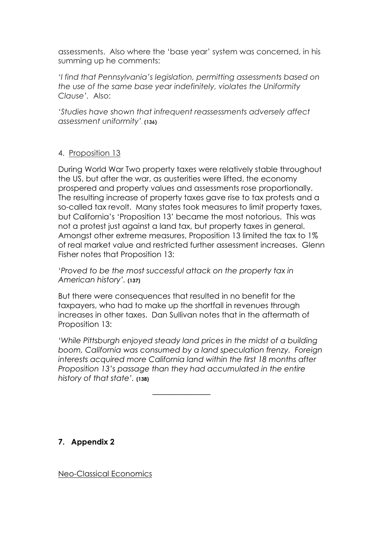assessments. Also where the 'base year' system was concerned, in his summing up he comments:

*'I find that Pennsylvania's legislation, permitting assessments based on the use of the same base year indefinitely, violates the Uniformity Clause'.* Also:

*'Studies have shown that infrequent reassessments adversely affect assessment uniformity'.* **(136)**

# 4. Proposition 13

During World War Two property taxes were relatively stable throughout the US, but after the war, as austerities were lifted, the economy prospered and property values and assessments rose proportionally. The resulting increase of property taxes gave rise to tax protests and a so-called tax revolt. Many states took measures to limit property taxes, but California's 'Proposition 13' became the most notorious. This was not a protest just against a land tax, but property taxes in general. Amongst other extreme measures, Proposition 13 limited the tax to 1% of real market value and restricted further assessment increases. Glenn Fisher notes that Proposition 13:

'*Proved to be the most successful attack on the property tax in American history'.* **(137)**

But there were consequences that resulted in no benefit for the taxpayers, who had to make up the shortfall in revenues through increases in other taxes. Dan Sullivan notes that in the aftermath of Proposition 13:

*'While Pittsburgh enjoyed steady land prices in the midst of a building boom, California was consumed by a land speculation frenzy. Foreign interests acquired more California land within the first 18 months after Proposition 13's passage than they had accumulated in the entire history of that state'.* **(138)**

**7. Appendix 2**

Neo-Classical Economics

–––––––––––––––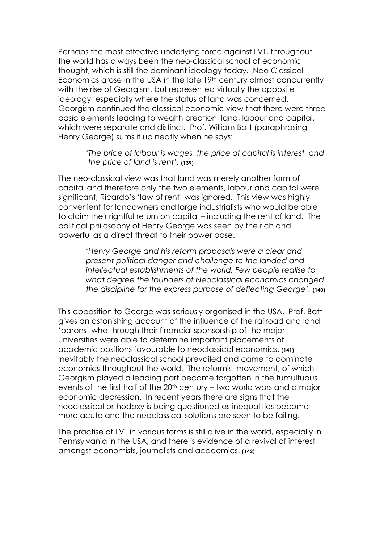Perhaps the most effective underlying force against LVT, throughout the world has always been the neo-classical school of economic thought, which is still the dominant ideology today. Neo Classical Economics arose in the USA in the late 19th century almost concurrently with the rise of Georgism, but represented virtually the opposite ideology, especially where the status of land was concerned. Georgism continued the classical economic view that there were three basic elements leading to wealth creation, land, labour and capital, which were separate and distinct. Prof. William Batt (paraphrasing Henry George) sums it up neatly when he says:

> *'The price of labour is wages, the price of capital is interest, and the price of land is rent'.* **(139)**

The neo-classical view was that land was merely another form of capital and therefore only the two elements, labour and capital were significant; Ricardo's 'law of rent' was ignored. This view was highly convenient for landowners and large industrialists who would be able to claim their rightful return on capital – including the rent of land. The political philosophy of Henry George was seen by the rich and powerful as a direct threat to their power base.

> '*Henry George and his reform proposals were a clear and present political danger and challenge to the landed and intellectual establishments of the world. Few people realise to what degree the founders of Neoclassical economics changed the discipline for the express purpose of deflecting George'.* **(140)**

This opposition to George was seriously organised in the USA. Prof. Batt gives an astonishing account of the influence of the railroad and land 'barons' who through their financial sponsorship of the major universities were able to determine important placements of academic positions favourable to neoclassical economics. **(141)**  Inevitably the neoclassical school prevailed and came to dominate economics throughout the world. The reformist movement, of which Georgism played a leading part became forgotten in the tumultuous events of the first half of the 20<sup>th</sup> century – two world wars and a major economic depression. In recent years there are signs that the neoclassical orthodoxy is being questioned as inequalities become more acute and the neoclassical solutions are seen to be failing.

The practise of LVT in various forms is still alive in the world, especially in Pennsylvania in the USA, and there is evidence of a revival of interest amongst economists, journalists and academics. **(142)**

 $\frac{1}{\sqrt{2\pi}}$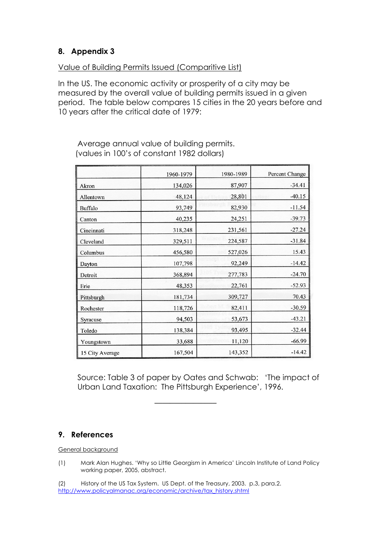# **8. Appendix 3**

# Value of Building Permits Issued (Comparitive List)

In the US. The economic activity or prosperity of a city may be measured by the overall value of building permits issued in a given period. The table below compares 15 cities in the 20 years before and 10 years after the critical date of 1979:

|                 | 1960-1979 | 1980-1989 | Percent Change |
|-----------------|-----------|-----------|----------------|
| Akron           | 134,026   | 87,907    | $-34.41$       |
| Allentown       | 48,124    | 28,801    | $-40.15$       |
| Buffalo         | 93,749    | 82,930    | $-11.54$       |
| Canton          | 40,235    | 24,251    | $-39.73$       |
| Cincinnati      | 318,248   | 231,561   | $-27.24$       |
| Cleveland       | 329,511   | 224,587   | $-31.84$       |
| Columbus        | 456,580   | 527,026   | 15.43          |
| Dayton          | 107,798   | 92,249    | $-14.42$       |
| Detroit         | 368,894   | 277,783   | $-24.70$       |
| Erie            | 48,353    | 22,761    | $-52.93$       |
| Pittsburgh      | 181,734   | 309,727   | 70.43          |
| Rochester       | 118,726   | 82,411    | $-30.59$       |
| Syracuse        | 94,503    | 53,673    | $-43.21$       |
| Toledo          | 138,384   | 93,495    | $-32.44$       |
| Youngstown      | 33,688    | 11,120    | $-66.99$       |
| 15 City Average | 167,504   | 143,352   | $-14.42$       |

 Average annual value of building permits. (values in 100's of constant 1982 dollars)

 Source: Table 3 of paper by Oates and Schwab: 'The impact of Urban Land Taxation: The Pittsburgh Experience', 1996.

# **9. References**

General background

(1) Mark Alan Hughes. 'Why so Little Georgism in America' Lincoln Institute of Land Policy working paper, 2005, abstract.

(2) History of the US Tax System. US Dept. of the Treasury, 2003. p.3, para.2. http://www.policyalmanac.org/economic/archive/tax\_history.shtml

––––––––––––––––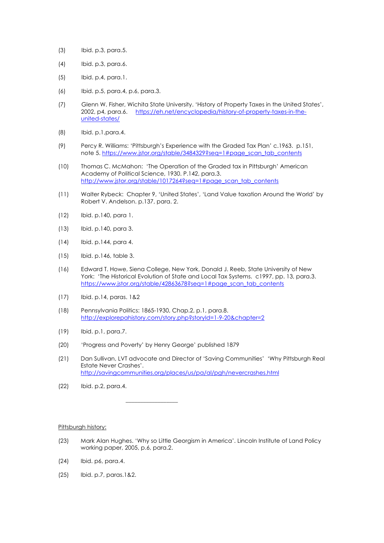- (3) Ibid. p.3, para.5.
- (4) Ibid. p.3, para.6.
- (5) Ibid. p.4, para.1.
- (6) Ibid. p.5, para.4, p.6, para.3.
- (7) Glenn W. Fisher, Wichita State University. 'History of Property Taxes in the United States', 2002, p4, para.6. https://eh.net/encyclopedia/history-of-property-taxes-in-theunited-states/
- (8) Ibid. p.1,para.4.
- (9) Percy R. Williams: 'Pittsburgh's Experience with the Graded Tax Plan' c.1963. p.151, note 5. https://www.jstor.org/stable/3484329?seq=1#page\_scan\_tab\_contents
- (10) Thomas C. McMahon: 'The Operation of the Graded tax in Pittsburgh' American Academy of Political Science, 1930. P.142, para.3. http://www.jstor.org/stable/1017264?seq=1#page\_scan\_tab\_contents
- (11) Walter Rybeck: Chapter 9, 'United States', 'Land Value taxation Around the World' by Robert V. Andelson. p.137, para. 2.
- (12) Ibid. p.140, para 1.
- (13) Ibid. p.140, para 3.
- (14) Ibid. p.144, para 4.
- (15) Ibid. p.146, table 3.
- (16) Edward T. Howe, Siena College, New York, Donald J. Reeb, State University of New York: 'The Historical Evolution of State and Local Tax Systems. c1997, pp. 13, para.3. https://www.jstor.org/stable/42863678?seq=1#page\_scan\_tab\_contents
- (17) Ibid. p.14, paras. 1&2
- (18) Pennsylvania Politics: 1865-1930, Chap.2, p.1, para.8. http://explorepahistory.com/story.php?storyId=1-9-20&chapter=2
- (19) Ibid. p.1, para.7.
- (20) 'Progress and Poverty' by Henry George' published 1879
- (21) Dan Sullivan, LVT advocate and Director of 'Saving Communities' 'Why Pittsburgh Real Estate Never Crashes'. http://savingcommunities.org/places/us/pa/al/pgh/nevercrashes.html
- (22) Ibid. p.2, para.4.

 $\overline{\phantom{a}}$  , and the set of the set of the set of the set of the set of the set of the set of the set of the set of the set of the set of the set of the set of the set of the set of the set of the set of the set of the s

Pittsburgh history:

- (23) Mark Alan Hughes. 'Why so Little Georgism in America'. Lincoln Institute of Land Policy working paper, 2005, p.6, para.2.
- (24) Ibid. p6, para.4.
- (25) Ibid. p.7, paras.1&2.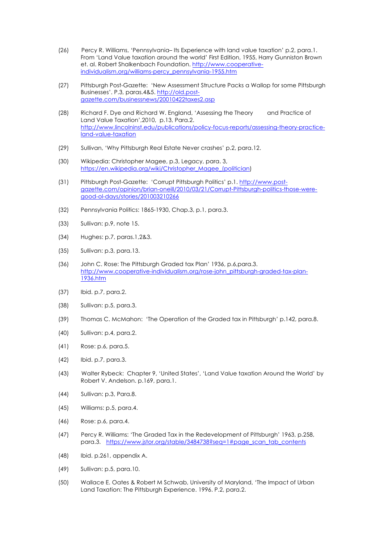- (26) Percy R. Williams, 'Pennsylvania– Its Experience with land value taxation' p.2, para.1. From 'Land Value taxation around the world' First Edition, 1955, Harry Gunniston Brown et. al. Robert Shalkenbach Foundation. http://www.cooperativeindividualism.org/williams-percy\_pennsylvania-1955.htm
- (27) Pittsburgh Post-Gazette: 'New Assessment Structure Packs a Wallop for some Pittsburgh Businesses'. P.3, paras.4&5. http://old.postgazette.com/businessnews/20010422taxes2.asp
- (28) Richard F. Dye and Richard W. England, 'Assessing the Theory and Practice of Land Value Taxation',2010, p.13, Para.2. http://www.lincolninst.edu/publications/policy-focus-reports/assessing-theory-practiceland-value-taxation
- (29) Sullivan, 'Why Pittsburgh Real Estate Never crashes' p.2, para.12.
- (30) Wikipedia: Christopher Magee, p.3, Legacy, para. 3, https://en.wikipedia.org/wiki/Christopher\_Magee\_(politician)
- (31) Pittsburgh Post-Gazette: 'Corrupt Pittsburgh Politics' p.1. http://www.postgazette.com/opinion/brian-oneill/2010/03/21/Corrupt-Pittsburgh-politics-those-weregood-ol-days/stories/201003210266
- (32) Pennsylvania Politics: 1865-1930, Chap.3, p.1, para.3.
- (33) Sullivan: p.9, note 15.
- (34) Hughes: p.7, paras.1,2&3.
- (35) Sullivan: p.3, para.13.
- (36) John C. Rose: The Pittsburgh Graded tax Plan' 1936, p.6,para.3. http://www.cooperative-individualism.org/rose-john\_pittsburgh-graded-tax-plan-1936.htm
- (37) Ibid. p.7, para.2.
- (38) Sullivan: p.5, para.3.
- (39) Thomas C. McMahon: 'The Operation of the Graded tax in Pittsburgh' p.142, para.8.
- (40) Sullivan: p.4, para.2.
- (41) Rose: p.6, para.5.
- (42) Ibid. p.7, para.3.
- (43) Walter Rybeck: Chapter 9, 'United States', 'Land Value taxation Around the World' by Robert V. Andelson. p.169, para.1.
- (44) Sullivan: p.3, Para.8.
- (45) Williams: p.5, para.4.
- (46) Rose: p.6, para.4.
- (47) Percy R. Williams: 'The Graded Tax in the Redevelopment of Pittsburgh' 1963, p.258, para.3. https://www.jstor.org/stable/3484738?seq=1#page\_scan\_tab\_contents
- (48) Ibid. p.261, appendix A.
- (49) Sullivan: p.5, para.10.
- (50) Wallace E. Oates & Robert M Schwab, University of Maryland, 'The Impact of Urban Land Taxation: The Pittsburgh Experience. 1996. P.2, para.2.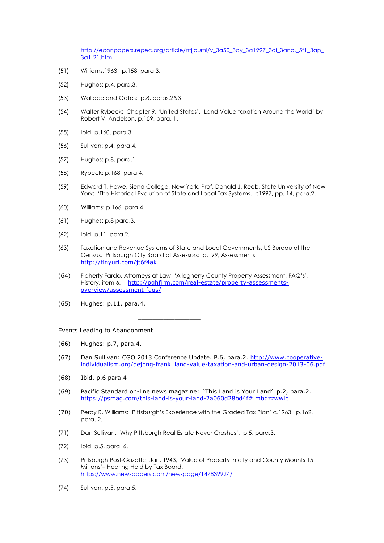http://econpapers.repec.org/article/ntjjournl/v\_3a50\_3ay\_3a1997\_3ai\_3ano.\_5f1\_3ap 3a1-21.htm

- (51) Williams,1963: p.158, para.3.
- (52) Hughes: p.4, para.3.
- (53) Wallace and Oates: p.8, paras.2&3
- (54) Walter Rybeck: Chapter 9, 'United States', 'Land Value taxation Around the World' by Robert V. Andelson. p.159, para. 1.
- (55) Ibid. p.160. para.3.
- (56) Sullivan: p.4, para.4.
- (57) Hughes: p.8, para.1.
- (58) Rybeck: p.168, para.4.
- (59) Edward T. Howe, Siena College, New York, Prof. Donald J. Reeb, State University of New York: 'The Historical Evolution of State and Local Tax Systems. c1997, pp. 14, para.2.
- (60) Williams: p.166, para.4.
- (61) Hughes: p.8 para.3.
- (62) Ibid. p.11. para.2.
- (63) Taxation and Revenue Systems of State and Local Governments, US Bureau of the Census. Pittsburgh City Board of Assessors: p.199, Assessments. http://tinyurl.com/jt6f4ak
- (64) Flaherty Fardo, Attorneys at Law: 'Allegheny County Property Assessment, FAQ's'. History, item 6. http://pghfirm.com/real-estate/property-assessmentsoverview/assessment-faqs/
- (65) Hughes: p.11, para.4.

Events Leading to Abandonment

 $\frac{1}{\sqrt{2}}$  ,  $\frac{1}{\sqrt{2}}$  ,  $\frac{1}{\sqrt{2}}$  ,  $\frac{1}{\sqrt{2}}$  ,  $\frac{1}{\sqrt{2}}$  ,  $\frac{1}{\sqrt{2}}$  ,  $\frac{1}{\sqrt{2}}$  ,  $\frac{1}{\sqrt{2}}$  ,  $\frac{1}{\sqrt{2}}$  ,  $\frac{1}{\sqrt{2}}$  ,  $\frac{1}{\sqrt{2}}$  ,  $\frac{1}{\sqrt{2}}$  ,  $\frac{1}{\sqrt{2}}$  ,  $\frac{1}{\sqrt{2}}$  ,  $\frac{1}{\sqrt{2}}$ 

- (66) Hughes: p.7, para.4.
- (67) Dan Sullivan: CGO 2013 Conference Update. P.6, para.2. http://www.cooperativeindividualism.org/dejong-frank\_land-value-taxation-and-urban-design-2013-06.pdf
- (68) Ibid. p.6 para.4
- (69) Pacific Standard on-line news magazine: 'This Land is Your Land' p.2, para.2. https://psmag.com/this-land-is-your-land-2a060d28bd4f#.mbqzzwwlb
- (70) Percy R. Williams: 'Pittsburgh's Experience with the Graded Tax Plan' c.1963. p.162, para. 2.
- (71) Dan Sullivan, 'Why Pittsburgh Real Estate Never Crashes'. p.5, para.3.
- (72) Ibid. p.5, para. 6.
- (73) Pittsburgh Post-Gazette, Jan. 1943, 'Value of Property in city and County Mounts 15 Millions'– Hearing Held by Tax Board. https://www.newspapers.com/newspage/147839924/
- (74) Sullivan: p.5. para.5.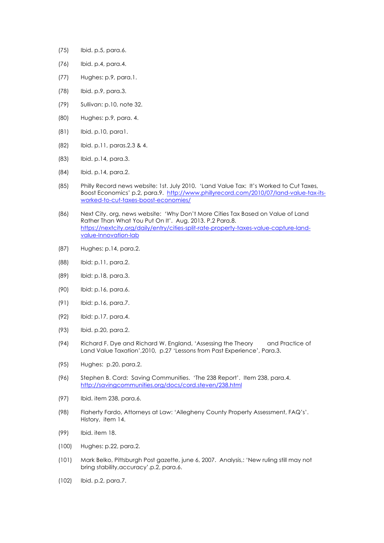- (75) Ibid. p.5, para.6.
- (76) Ibid. p.4, para.4.
- (77) Hughes: p.9, para.1.
- (78) Ibid. p.9, para.3.
- (79) Sullivan: p.10, note 32.
- (80) Hughes: p.9, para. 4.
- (81) Ibid. p.10, para1.
- (82) Ibid. p.11, paras.2,3 & 4.
- (83) Ibid. p.14, para.3.
- (84) Ibid. p.14, para.2.
- (85) Philly Record news website: 1st. July 2010. 'Land Value Tax: It's Worked to Cut Taxes, Boost Economics' p.2, para.9. http://www.phillyrecord.com/2010/07/land-value-tax-itsworked-to-cut-taxes-boost-economies/
- (86) Next City. org, news website: 'Why Don't More Cities Tax Based on Value of Land Rather Than What You Put On It'. Aug. 2013. P.2 Para.8. https://nextcity.org/daily/entry/cities-split-rate-property-taxes-value-capture-landvalue-Innovation-lab
- (87) Hughes: p.14, para.2.
- (88) Ibid: p.11, para.2.
- (89) Ibid: p.18, para.3.
- (90) Ibid: p.16, para.6.
- (91) Ibid: p.16, para.7.
- (92) Ibid: p.17, para.4.
- (93) Ibid. p.20, para.2.
- (94) Richard F. Dye and Richard W. England, 'Assessing the Theory and Practice of Land Value Taxation',2010, p.27 'Lessons from Past Experience', Para.3.
- (95) Hughes: p.20, para.2.
- (96) Stephen B. Cord: Saving Communities. 'The 238 Report'. Item 238, para.4. http://savingcommunities.org/docs/cord.steven/238.html
- (97) Ibid. item 238, para.6.
- (98) Flaherty Fardo, Attorneys at Law: 'Allegheny County Property Assessment, FAQ's'. History, item 14.
- (99) Ibid. item 18.
- (100) Hughes: p.22, para.2.
- (101) Mark Belko, Pittsburgh Post gazette, june 6, 2007. Analysis,: 'New ruling still may not bring stability,accuracy'.p.2, para.6.
- (102) Ibid. p.2, para.7.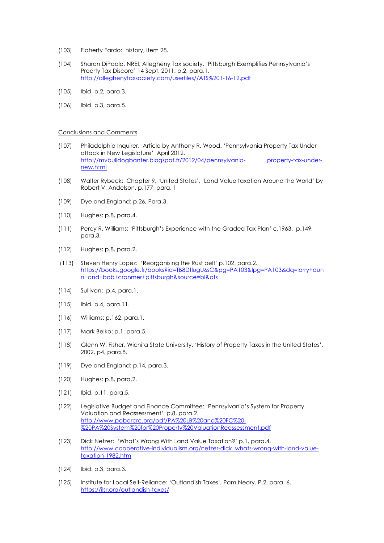(103) Flaherty Fardo: history, item 28.

 $\mathcal{L}_\mathcal{L}$  , which is a set of the set of the set of the set of the set of the set of the set of the set of the set of the set of the set of the set of the set of the set of the set of the set of the set of the set of

- (104) Sharon DiPaolo, NREI, Allegheny Tax society. 'Pittsburgh Exemplifies Pennsylvania's Proerty Tax Discord' 14 Sept. 2011. p.2, para.1. http://alleghenytaxsociety.com/userfiles//ATS%201-16-12.pdf
- (105) Ibid. p.2, para.3.
- (106) Ibid. p.3, para.5.

#### Conclusions and Comments

- (107) Philadelphia Inquirer. Article by Anthony R. Wood. 'Pennsylvania Property Tax Under attack in New Legislature' April 2012. http://mvbulldogbanter.blogspot.fr/2012/04/pennsylvania- property-tax-undernew.html
- (108) Walter Rybeck: Chapter 9, 'United States', 'Land Value taxation Around the World' by Robert V. Andelson. p.177, para. 1
- (109) Dye and England: p.26, Para.3.
- (110) Hughes: p.8, para.4.
- (111) Percy R. Williams: 'Pittsburgh's Experience with the Graded Tax Plan' c.1963. p.149, para.3.
- (112) Hughes: p.8, para.2.
- (113) Steven Henry Lopez: 'Reorganising the Rust belt' p.102, para.2. https://books.google.fr/books?id=TB8DtlugU6sC&pg=PA103&lpg=PA103&dq=larry+dun n+and+bob+cranmer+pittsburgh&source=bl&ots
- (114) Sullivan: p.4, para.1.
- (115) Ibid. p.4, para.11.
- (116) Williams: p.162, para.1.
- (117) Mark Belko: p.1, para.5.
- (118) Glenn W. Fisher, Wichita State University. 'History of Property Taxes in the United States', 2002, p4, para.8.
- (119) Dye and England: p.14, para.3.
- (120) Hughes: p.8, para.2.
- (121) Ibid. p.11, para.5.
- (122) Legislative Budget and Finance Committee: 'Pennsylvania's System for Property Valuation and Reassessment' p.8, para.2. http://www.pabarcrc.org/pdf/PA%20LB%20and%20FC%20- %20PA%20System%20for%20Property%20ValuationReassessment.pdf
- (123) Dick Netzer: 'What's Wrong With Land Value Taxation?' p.1, para.4. http://www.cooperative-individualism.org/netzer-dick\_whats-wrong-with-land-valuetaxation-1982.htm
- (124) Ibid. p.3, para.3.
- (125) Institute for Local Self-Reliance: 'Outlandish Taxes', Pam Neary. P.2, para. 6. https://ilsr.org/outlandish-taxes/